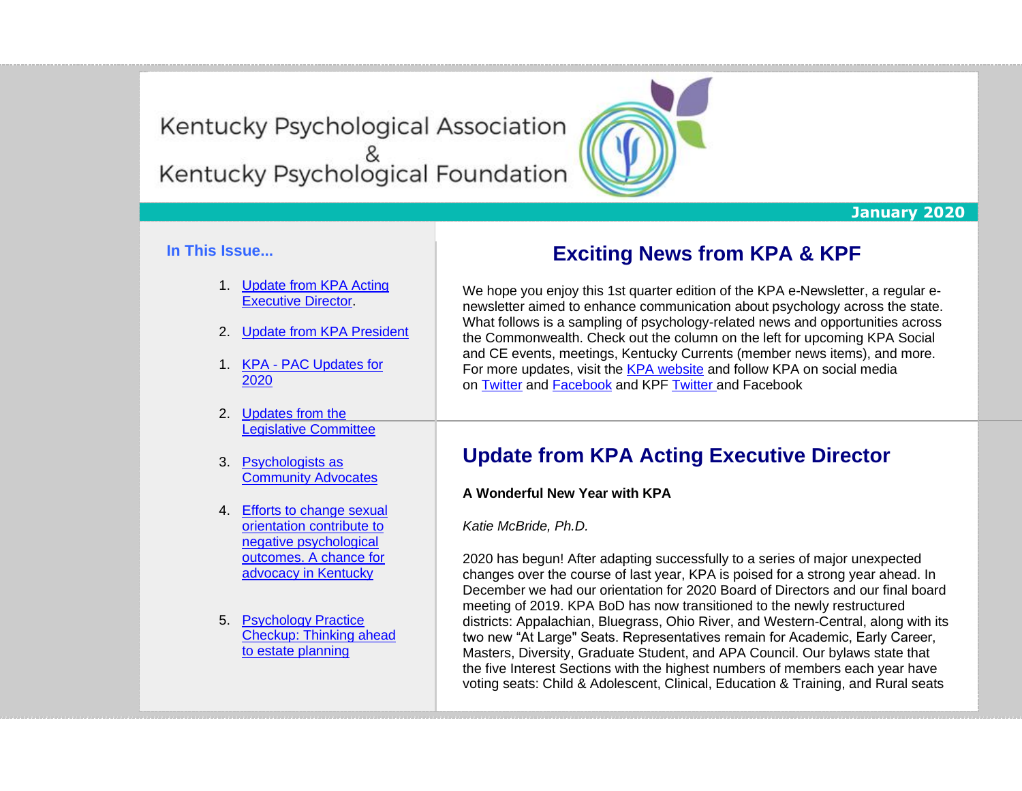Kentucky Psychological Association<br>Kentucky Psychological Foundation



#### **January 2020**

#### **In This Issue...**

- 1. [Update from KPA Acting](https://kpa.memberclicks.net/administrator/index.php?option=com_mccore&view=contactcenter#ED-update)  [Executive Director.](https://kpa.memberclicks.net/administrator/index.php?option=com_mccore&view=contactcenter#ED-update)
- 2. [Update from KPA President](https://kpa.memberclicks.net/administrator/index.php?option=com_mccore&view=contactcenter#PresidentUpdate)
- 1. KPA [PAC Updates for](https://kpa.memberclicks.net/administrator/index.php?option=com_mccore&view=contactcenter#PresidentUpdate)  [2020](https://kpa.memberclicks.net/administrator/index.php?option=com_mccore&view=contactcenter#PresidentUpdate)
- 2. [Updates from the](https://kpa.memberclicks.net/administrator/index.php?option=com_mccore&view=contactcenter#LegislativeComm)  [Legislative Committee](https://kpa.memberclicks.net/administrator/index.php?option=com_mccore&view=contactcenter#LegislativeComm)
- 3. [Psychologists as](https://kpa.memberclicks.net/administrator/index.php?option=com_mccore&view=contactcenter#PsychologistsCommunityAdvocates)  [Community Advocates](https://kpa.memberclicks.net/administrator/index.php?option=com_mccore&view=contactcenter#PsychologistsCommunityAdvocates)
- 4. [Efforts to change sexual](https://kpa.memberclicks.net/administrator/index.php?option=com_mccore&view=contactcenter#WarrenArticle)  [orientation contribute to](https://kpa.memberclicks.net/administrator/index.php?option=com_mccore&view=contactcenter#WarrenArticle)  [negative psychological](https://kpa.memberclicks.net/administrator/index.php?option=com_mccore&view=contactcenter#WarrenArticle)  [outcomes. A chance for](https://kpa.memberclicks.net/administrator/index.php?option=com_mccore&view=contactcenter#WarrenArticle)  [advocacy in Kentucky](https://kpa.memberclicks.net/administrator/index.php?option=com_mccore&view=contactcenter#WarrenArticle)
- 5. [Psychology Practice](https://kpa.memberclicks.net/administrator/index.php?option=com_mccore&view=contactcenter#DPA)  [Checkup: Thinking ahead](https://kpa.memberclicks.net/administrator/index.php?option=com_mccore&view=contactcenter#DPA)  [to estate planning](https://kpa.memberclicks.net/administrator/index.php?option=com_mccore&view=contactcenter#DPA)

## **Exciting News from KPA & KPF**

We hope you enjoy this 1st quarter edition of the KPA e-Newsletter, a regular enewsletter aimed to enhance communication about psychology across the state. What follows is a sampling of psychology-related news and opportunities across the Commonwealth. Check out the column on the left for upcoming KPA Social and CE events, meetings, Kentucky Currents (member news items), and more. For more updates, visit the [KPA website](http://www.kpa.org/) and follow KPA on social media on [Twitter](https://twitter.com/KYPsychAssoc) and [Facebook](https://www.facebook.com/KentuckyPsychAssociation/) and KPF [Twitter](https://twitter.com/KYPsychFnd) and Facebook

## **Update from KPA Acting Executive Director**

#### **A Wonderful New Year with KPA**

*Katie McBride, Ph.D.*

2020 has begun! After adapting successfully to a series of major unexpected changes over the course of last year, KPA is poised for a strong year ahead. In December we had our orientation for 2020 Board of Directors and our final board meeting of 2019. KPA BoD has now transitioned to the newly restructured districts: Appalachian, Bluegrass, Ohio River, and Western-Central, along with its two new "At Large" Seats. Representatives remain for Academic, Early Career, Masters, Diversity, Graduate Student, and APA Council. Our bylaws state that the five Interest Sections with the highest numbers of members each year have voting seats: Child & Adolescent, Clinical, Education & Training, and Rural seats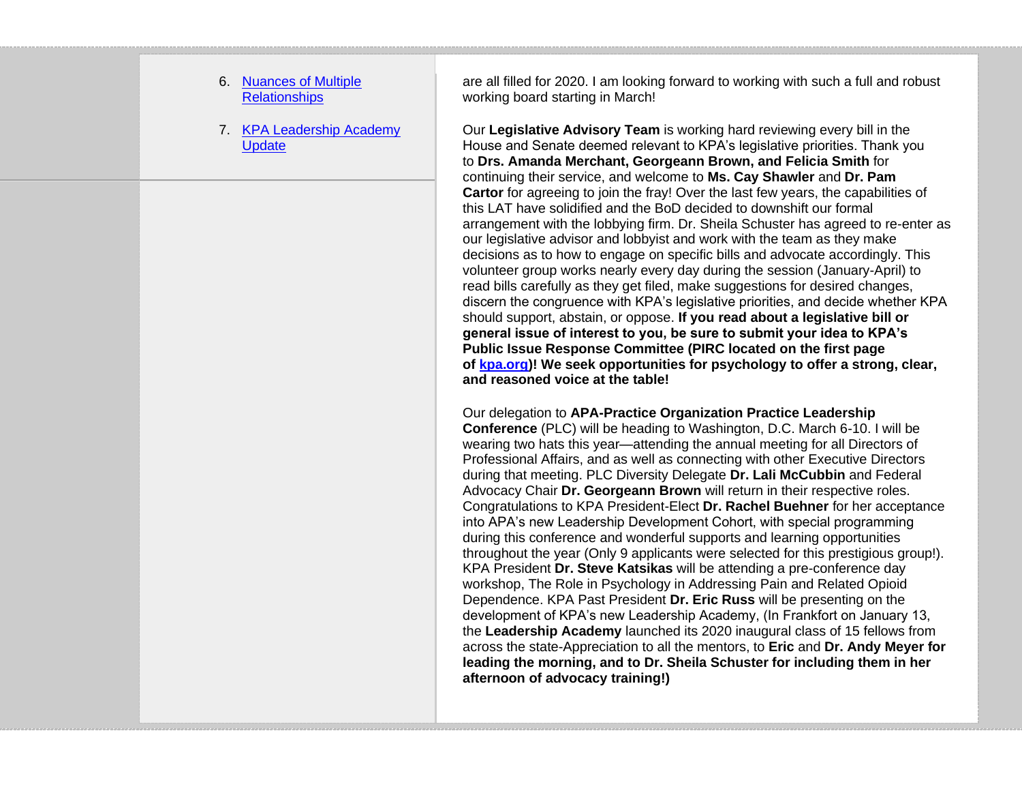- 6. [Nuances of Multiple](https://kpa.memberclicks.net/administrator/index.php?option=com_mccore&view=contactcenter#Ethics)  **[Relationships](https://kpa.memberclicks.net/administrator/index.php?option=com_mccore&view=contactcenter#Ethics)**
- 7. [KPA Leadership Academy](https://kpa.memberclicks.net/administrator/index.php?option=com_mccore&view=contactcenter#Ethics)  **[Update](https://kpa.memberclicks.net/administrator/index.php?option=com_mccore&view=contactcenter#Ethics)**

are all filled for 2020. I am looking forward to working with such a full and robust working board starting in March!

Our **Legislative Advisory Team** is working hard reviewing every bill in the House and Senate deemed relevant to KPA's legislative priorities. Thank you to **Drs. Amanda Merchant, Georgeann Brown, and Felicia Smith** for continuing their service, and welcome to **Ms. Cay Shawler** and **Dr. Pam Cartor** for agreeing to join the fray! Over the last few years, the capabilities of this LAT have solidified and the BoD decided to downshift our formal arrangement with the lobbying firm. Dr. Sheila Schuster has agreed to re-enter as our legislative advisor and lobbyist and work with the team as they make decisions as to how to engage on specific bills and advocate accordingly. This volunteer group works nearly every day during the session (January-April) to read bills carefully as they get filed, make suggestions for desired changes, discern the congruence with KPA's legislative priorities, and decide whether KPA should support, abstain, or oppose. **If you read about a legislative bill or general issue of interest to you, be sure to submit your idea to KPA's Public Issue Response Committee (PIRC located on the first page of [kpa.org\)](http://kpa.org/)! We seek opportunities for psychology to offer a strong, clear, and reasoned voice at the table!**

Our delegation to **APA-Practice Organization Practice Leadership Conference** (PLC) will be heading to Washington, D.C. March 6-10. I will be wearing two hats this year—attending the annual meeting for all Directors of Professional Affairs, and as well as connecting with other Executive Directors during that meeting. PLC Diversity Delegate **Dr. Lali McCubbin** and Federal Advocacy Chair **Dr. Georgeann Brown** will return in their respective roles. Congratulations to KPA President-Elect **Dr. Rachel Buehner** for her acceptance into APA's new Leadership Development Cohort, with special programming during this conference and wonderful supports and learning opportunities throughout the year (Only 9 applicants were selected for this prestigious group!). KPA President **Dr. Steve Katsikas** will be attending a pre-conference day workshop, The Role in Psychology in Addressing Pain and Related Opioid Dependence. KPA Past President **Dr. Eric Russ** will be presenting on the development of KPA's new Leadership Academy, (In Frankfort on January 13, the **Leadership Academy** launched its 2020 inaugural class of 15 fellows from across the state-Appreciation to all the mentors, to **Eric** and **Dr. Andy Meyer for leading the morning, and to Dr. Sheila Schuster for including them in her afternoon of advocacy training!)**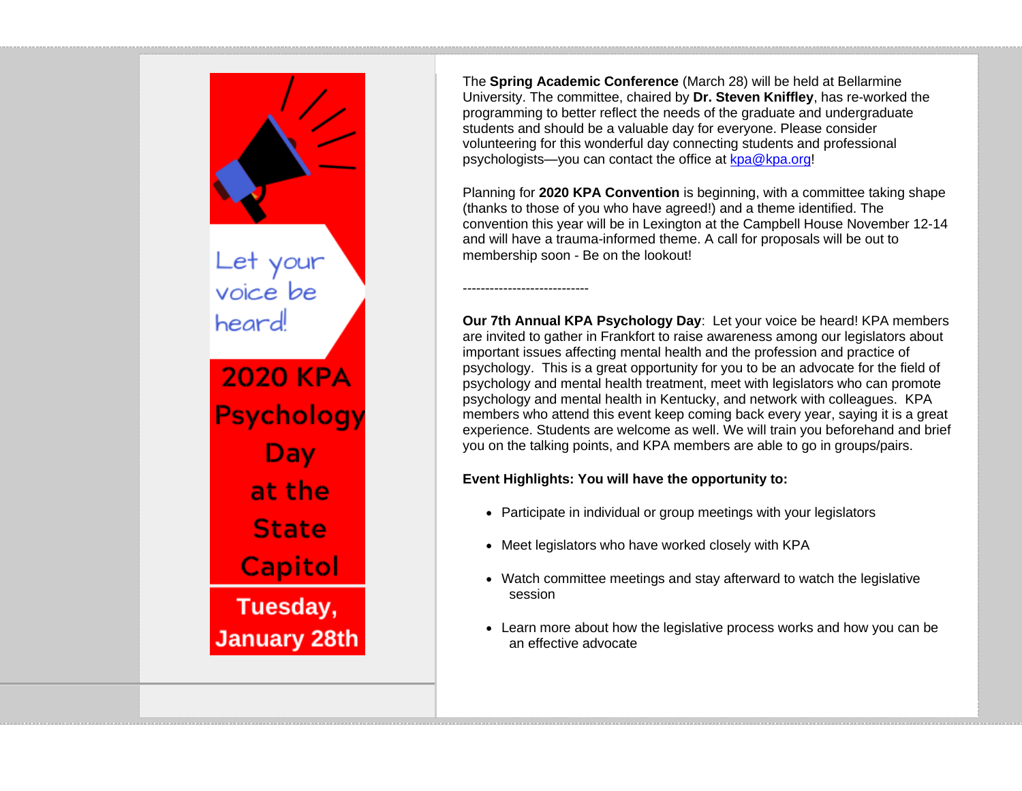

The **Spring Academic Conference** (March 28) will be held at Bellarmine University. The committee, chaired by **Dr. Steven Kniffley**, has re-worked the programming to better reflect the needs of the graduate and undergraduate students and should be a valuable day for everyone. Please consider volunteering for this wonderful day connecting students and professional psychologists—you can contact the office at [kpa@kpa.org!](mailto:kpa@kpa.org)

Planning for **2020 KPA Convention** is beginning, with a committee taking shape (thanks to those of you who have agreed!) and a theme identified. The convention this year will be in Lexington at the Campbell House November 12-14 and will have a trauma-informed theme. A call for proposals will be out to membership soon - Be on the lookout!

**Our 7th Annual KPA Psychology Day**: Let your voice be heard! KPA members are invited to gather in Frankfort to raise awareness among our legislators about important issues affecting mental health and the profession and practice of psychology. This is a great opportunity for you to be an advocate for the field of psychology and mental health treatment, meet with legislators who can promote psychology and mental health in Kentucky, and network with colleagues. KPA members who attend this event keep coming back every year, saying it is a great experience. Students are welcome as well. We will train you beforehand and brief you on the talking points, and KPA members are able to go in groups/pairs.

#### **Event Highlights: You will have the opportunity to:**

----------------------------

- Participate in individual or group meetings with your legislators
- Meet legislators who have worked closely with KPA
- Watch committee meetings and stay afterward to watch the legislative session
- Learn more about how the legislative process works and how you can be an effective advocate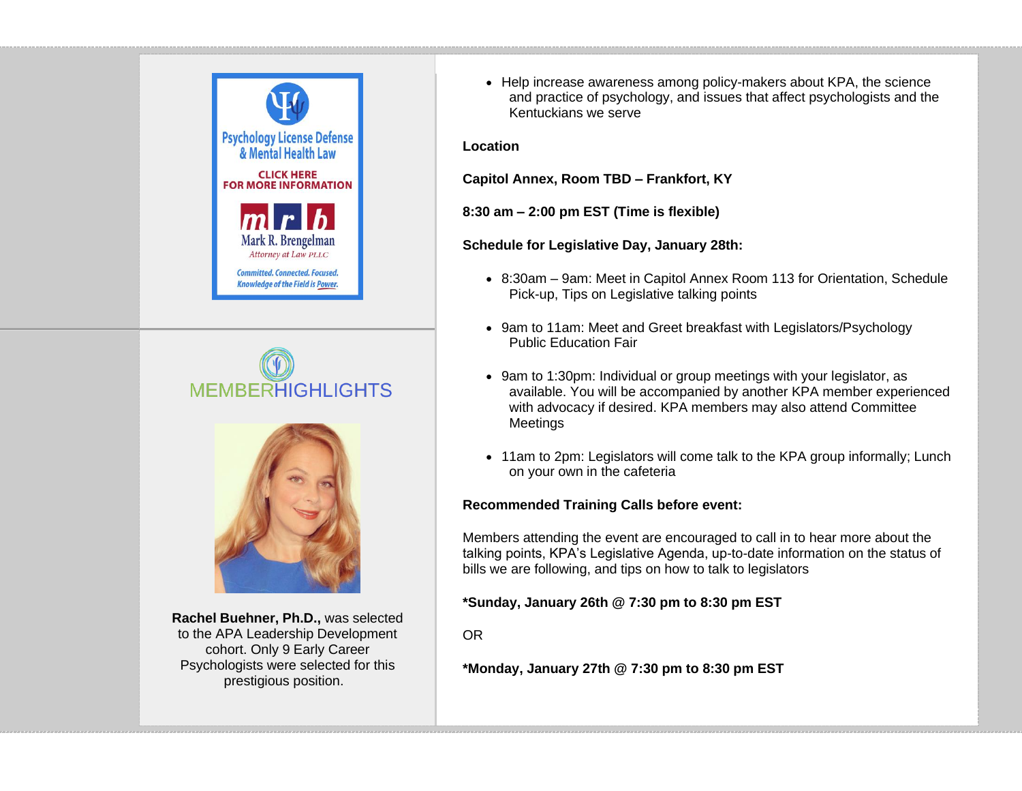





**Rachel Buehner, Ph.D.,** was selected to the APA Leadership Development cohort. Only 9 Early Career Psychologists were selected for this prestigious position.

• Help increase awareness among policy-makers about KPA, the science and practice of psychology, and issues that affect psychologists and the Kentuckians we serve

#### **Location**

**Capitol Annex, Room TBD – Frankfort, KY**

**8:30 am – 2:00 pm EST (Time is flexible)**

**Schedule for Legislative Day, January 28th:**

- 8:30am 9am: Meet in Capitol Annex Room 113 for Orientation, Schedule Pick-up, Tips on Legislative talking points
- 9am to 11am: Meet and Greet breakfast with Legislators/Psychology Public Education Fair
- 9am to 1:30pm: Individual or group meetings with your legislator, as available. You will be accompanied by another KPA member experienced with advocacy if desired. KPA members may also attend Committee Meetings
- 11am to 2pm: Legislators will come talk to the KPA group informally; Lunch on your own in the cafeteria

#### **Recommended Training Calls before event:**

Members attending the event are encouraged to call in to hear more about the talking points, KPA's Legislative Agenda, up-to-date information on the status of bills we are following, and tips on how to talk to legislators

#### **\*Sunday, January 26th @ 7:30 pm to 8:30 pm EST**

OR

**\*Monday, January 27th @ 7:30 pm to 8:30 pm EST**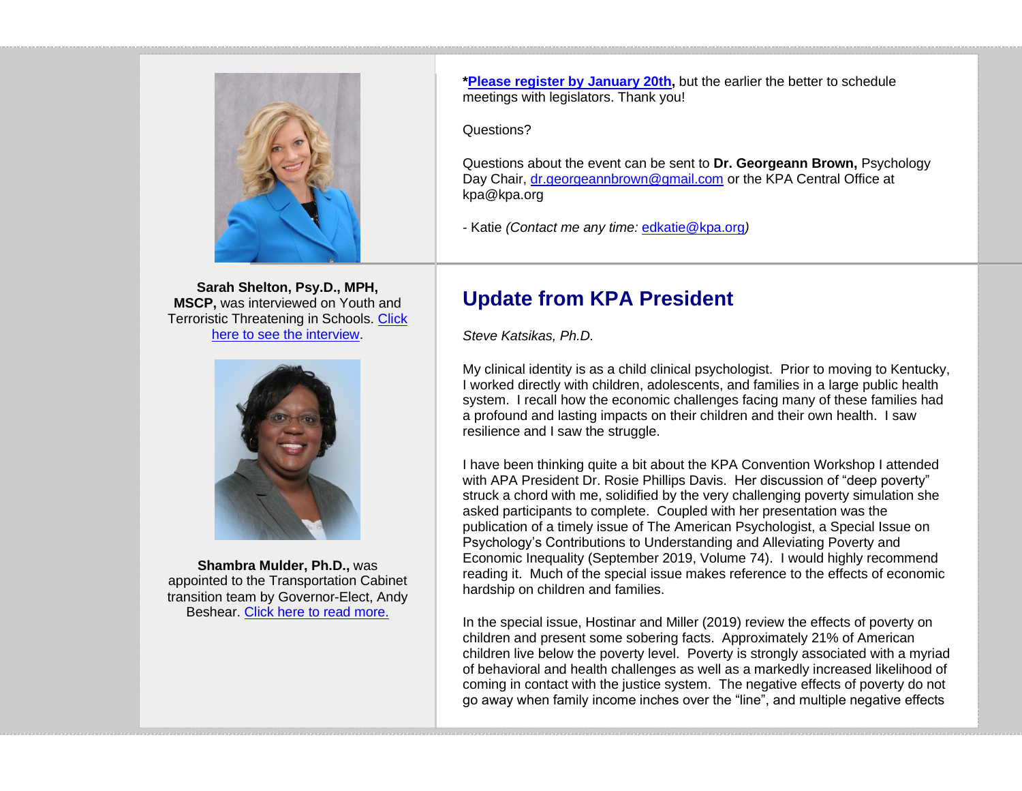

**Sarah Shelton, Psy.D., MPH, MSCP,** was interviewed on Youth and Terroristic Threatening in Schools. [Click](https://www.wpsdlocal6.com/news/school-threats-mean-real-consequences-for-local-students/article_c1c7319c-0fa8-11ea-a862-07084ef954af.html)  [here to see the interview.](https://www.wpsdlocal6.com/news/school-threats-mean-real-consequences-for-local-students/article_c1c7319c-0fa8-11ea-a862-07084ef954af.html)



**Shambra Mulder, Ph.D.,** was appointed to the Transportation Cabinet transition team by Governor-Elect, Andy Beshear. [Click here to read more.](https://ag.ky.gov/govtransition/TransitionTeam.pdf)

**[\\*Please register by January 20th,](https://kpa.memberclicks.net/index.php?option=com_mcform&view=ngforms&id=2036023)** but the earlier the better to schedule meetings with legislators. Thank you!

Questions?

Questions about the event can be sent to **Dr. Georgeann Brown,** Psychology Day Chair, [dr.georgeannbrown@gmail.com](mailto:dr.georgeannbrown@gmail.com) or the KPA Central Office at kpa@kpa.org

- Katie *(Contact me any time:* [edkatie@kpa.org](mailto:edkatie@kpa.org)*)*

## **Update from KPA President**

*Steve Katsikas, Ph.D.*

My clinical identity is as a child clinical psychologist. Prior to moving to Kentucky, I worked directly with children, adolescents, and families in a large public health system. I recall how the economic challenges facing many of these families had a profound and lasting impacts on their children and their own health. I saw resilience and I saw the struggle.

I have been thinking quite a bit about the KPA Convention Workshop I attended with APA President Dr. Rosie Phillips Davis. Her discussion of "deep poverty" struck a chord with me, solidified by the very challenging poverty simulation she asked participants to complete. Coupled with her presentation was the publication of a timely issue of The American Psychologist, a Special Issue on Psychology's Contributions to Understanding and Alleviating Poverty and Economic Inequality (September 2019, Volume 74). I would highly recommend reading it. Much of the special issue makes reference to the effects of economic hardship on children and families.

In the special issue, Hostinar and Miller (2019) review the effects of poverty on children and present some sobering facts. Approximately 21% of American children live below the poverty level. Poverty is strongly associated with a myriad of behavioral and health challenges as well as a markedly increased likelihood of coming in contact with the justice system. The negative effects of poverty do not go away when family income inches over the "line", and multiple negative effects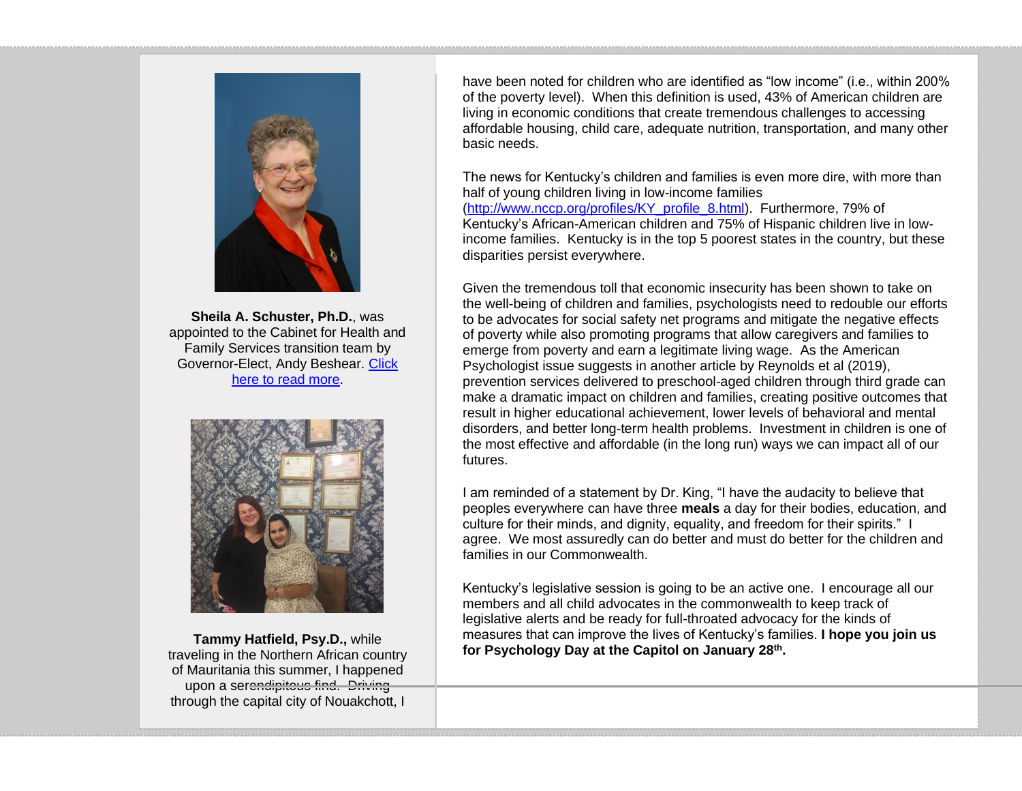

**Sheila A. Schuster, Ph.D.**, was appointed to the Cabinet for Health and Family Services transition team by Governor-Elect, Andy Beshear. [Click](https://www.courier-journal.com/story/news/politics/2019/11/15/gov-elect-andy-beshear-names-transition-team-members/4200336002/)  [here to read more.](https://www.courier-journal.com/story/news/politics/2019/11/15/gov-elect-andy-beshear-names-transition-team-members/4200336002/)



**Tammy Hatfield, Psy.D.,** while traveling in the Northern African country of Mauritania this summer, I happened upon a serendipitous find. Driving through the capital city of Nouakchott, I

have been noted for children who are identified as "low income" (i.e., within 200% of the poverty level). When this definition is used, 43% of American children are living in economic conditions that create tremendous challenges to accessing affordable housing, child care, adequate nutrition, transportation, and many other basic needs.

The news for Kentucky's children and families is even more dire, with more than half of young children living in low-income families [\(http://www.nccp.org/profiles/KY\\_profile\\_8.html\)](http://www.nccp.org/profiles/KY_profile_8.html). Furthermore, 79% of Kentucky's African-American children and 75% of Hispanic children live in lowincome families. Kentucky is in the top 5 poorest states in the country, but these disparities persist everywhere.

Given the tremendous toll that economic insecurity has been shown to take on the well-being of children and families, psychologists need to redouble our efforts to be advocates for social safety net programs and mitigate the negative effects of poverty while also promoting programs that allow caregivers and families to emerge from poverty and earn a legitimate living wage. As the American Psychologist issue suggests in another article by Reynolds et al (2019), prevention services delivered to preschool-aged children through third grade can make a dramatic impact on children and families, creating positive outcomes that result in higher educational achievement, lower levels of behavioral and mental disorders, and better long-term health problems. Investment in children is one of the most effective and affordable (in the long run) ways we can impact all of our futures.

I am reminded of a statement by Dr. King, "I have the audacity to believe that peoples everywhere can have three **meals** a day for their bodies, education, and culture for their minds, and dignity, equality, and freedom for their spirits." I agree. We most assuredly can do better and must do better for the children and families in our Commonwealth.

Kentucky's legislative session is going to be an active one. I encourage all our members and all child advocates in the commonwealth to keep track of legislative alerts and be ready for full-throated advocacy for the kinds of measures that can improve the lives of Kentucky's families. **I hope you join us for Psychology Day at the Capitol on January 28th .**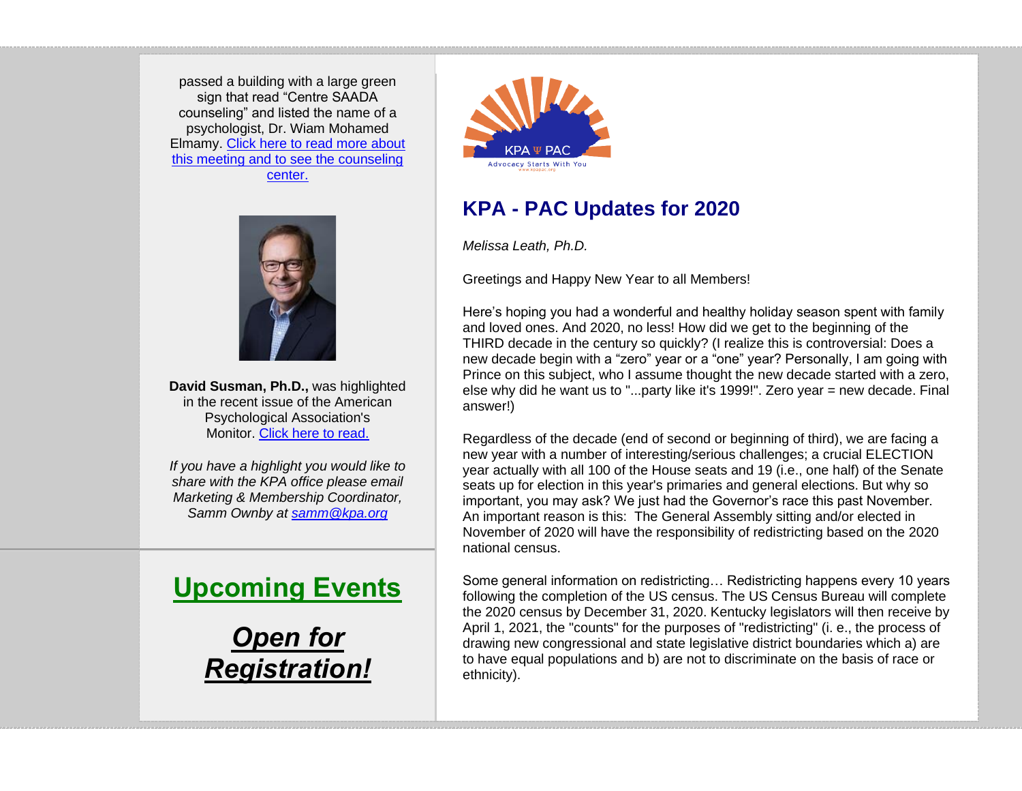passed a building with a large green sign that read "Centre SAADA counseling" and listed the name of a psychologist, Dr. Wiam Mohamed Elmamy. [Click here to read more about](https://www.kpa.org/psychology-abroad--a-serendipitous-meeting)  [this meeting and to see the counseling](https://www.kpa.org/psychology-abroad--a-serendipitous-meeting)  [center.](https://www.kpa.org/psychology-abroad--a-serendipitous-meeting)



**David Susman, Ph.D.,** was highlighted in the recent issue of the American Psychological Association's Monitor. [Click here to read.](https://www.apa.org/monitor/2019/10/people)

*If you have a highlight you would like to share with the KPA office please email Marketing & Membership Coordinator, Samm Ownby at [samm@kpa.org](mailto:samm@kpa.org)*

## **Upcoming Events**

*Open for Registration!*



## **KPA - PAC Updates for 2020**

*Melissa Leath, Ph.D.*

Greetings and Happy New Year to all Members!

Here's hoping you had a wonderful and healthy holiday season spent with family and loved ones. And 2020, no less! How did we get to the beginning of the THIRD decade in the century so quickly? (I realize this is controversial: Does a new decade begin with a "zero" year or a "one" year? Personally, I am going with Prince on this subject, who I assume thought the new decade started with a zero, else why did he want us to "...party like it's 1999!". Zero year = new decade. Final answer!)

Regardless of the decade (end of second or beginning of third), we are facing a new year with a number of interesting/serious challenges; a crucial ELECTION year actually with all 100 of the House seats and 19 (i.e., one half) of the Senate seats up for election in this year's primaries and general elections. But why so important, you may ask? We just had the Governor's race this past November. An important reason is this: The General Assembly sitting and/or elected in November of 2020 will have the responsibility of redistricting based on the 2020 national census.

Some general information on redistricting… Redistricting happens every 10 years following the completion of the US census. The US Census Bureau will complete the 2020 census by December 31, 2020. Kentucky legislators will then receive by April 1, 2021, the "counts" for the purposes of "redistricting" (i. e., the process of drawing new congressional and state legislative district boundaries which a) are to have equal populations and b) are not to discriminate on the basis of race or ethnicity).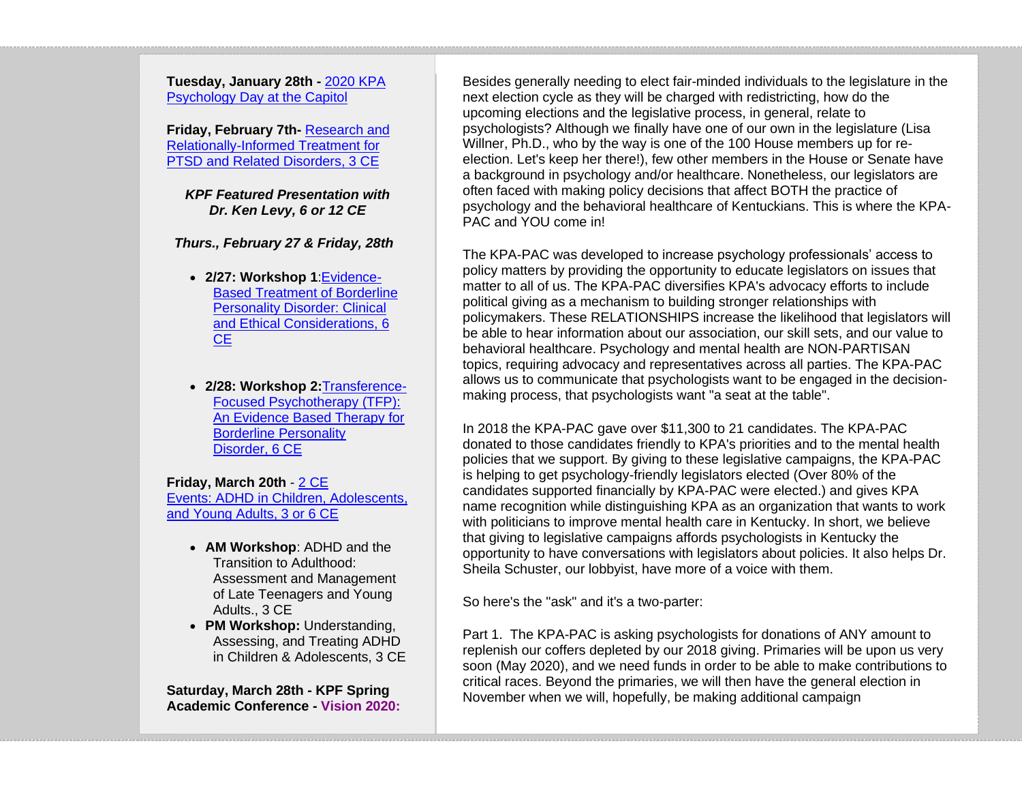**Tuesday, January 28th -** [2020 KPA](https://www.kpa.org/index.php?option=com_jevents&task=icalevent.detail&evid=65)  [Psychology Day at the Capitol](https://www.kpa.org/index.php?option=com_jevents&task=icalevent.detail&evid=65)

**Friday, February 7th-** [Research and](https://www.kpa.org/index.php?option=com_jevents&task=icalrepeat.detail&evid=87&Itemid=115&year=2020&month=02&day=07&title=research-and-relationally-informed-treatment-for-ptsd-and-related-disorders&uid=af76f29eb6c4c280e530d7616f7ae589)  [Relationally-Informed Treatment for](https://www.kpa.org/index.php?option=com_jevents&task=icalrepeat.detail&evid=87&Itemid=115&year=2020&month=02&day=07&title=research-and-relationally-informed-treatment-for-ptsd-and-related-disorders&uid=af76f29eb6c4c280e530d7616f7ae589)  [PTSD and Related Disorders, 3](https://www.kpa.org/index.php?option=com_jevents&task=icalrepeat.detail&evid=87&Itemid=115&year=2020&month=02&day=07&title=research-and-relationally-informed-treatment-for-ptsd-and-related-disorders&uid=af76f29eb6c4c280e530d7616f7ae589) CE

*KPF Featured Presentation with Dr. Ken Levy, 6 or 12 CE*

*Thurs., February 27 & Friday, 28th* 

- **2/27: Workshop 1**[:Evidence-](https://www.kpa.org/index.php?option=com_jevents&task=icalrepeat.detail&evid=85&Itemid=115&year=2020&month=02&day=27&title=kpf-featured-presentation-with-dr-ken-levy-6-or-12-ce&uid=0a6837413e21416d18995f2ada1e7a58)Based [Treatment of Borderline](https://www.kpa.org/index.php?option=com_jevents&task=icalrepeat.detail&evid=85&Itemid=115&year=2020&month=02&day=27&title=kpf-featured-presentation-with-dr-ken-levy-6-or-12-ce&uid=0a6837413e21416d18995f2ada1e7a58)  [Personality Disorder: Clinical](https://www.kpa.org/index.php?option=com_jevents&task=icalrepeat.detail&evid=85&Itemid=115&year=2020&month=02&day=27&title=kpf-featured-presentation-with-dr-ken-levy-6-or-12-ce&uid=0a6837413e21416d18995f2ada1e7a58)  [and Ethical Considerations,](https://www.kpa.org/index.php?option=com_jevents&task=icalrepeat.detail&evid=85&Itemid=115&year=2020&month=02&day=27&title=kpf-featured-presentation-with-dr-ken-levy-6-or-12-ce&uid=0a6837413e21416d18995f2ada1e7a58) 6 [CE](https://www.kpa.org/index.php?option=com_jevents&task=icalrepeat.detail&evid=85&Itemid=115&year=2020&month=02&day=27&title=kpf-featured-presentation-with-dr-ken-levy-6-or-12-ce&uid=0a6837413e21416d18995f2ada1e7a58)
- **2/28: Workshop 2:**[Transference-](https://www.kpa.org/index.php?option=com_jevents&task=icalrepeat.detail&evid=85&Itemid=115&year=2020&month=02&day=27&title=kpf-featured-presentation-with-dr-ken-levy-6-or-12-ce&uid=0a6837413e21416d18995f2ada1e7a58)[Focused Psychotherapy \(TFP\):](https://www.kpa.org/index.php?option=com_jevents&task=icalrepeat.detail&evid=85&Itemid=115&year=2020&month=02&day=27&title=kpf-featured-presentation-with-dr-ken-levy-6-or-12-ce&uid=0a6837413e21416d18995f2ada1e7a58)  [An Evidence Based Therapy for](https://www.kpa.org/index.php?option=com_jevents&task=icalrepeat.detail&evid=85&Itemid=115&year=2020&month=02&day=27&title=kpf-featured-presentation-with-dr-ken-levy-6-or-12-ce&uid=0a6837413e21416d18995f2ada1e7a58)  [Borderline Personality](https://www.kpa.org/index.php?option=com_jevents&task=icalrepeat.detail&evid=85&Itemid=115&year=2020&month=02&day=27&title=kpf-featured-presentation-with-dr-ken-levy-6-or-12-ce&uid=0a6837413e21416d18995f2ada1e7a58)  [Disorder,](https://www.kpa.org/index.php?option=com_jevents&task=icalrepeat.detail&evid=85&Itemid=115&year=2020&month=02&day=27&title=kpf-featured-presentation-with-dr-ken-levy-6-or-12-ce&uid=0a6837413e21416d18995f2ada1e7a58) 6 CE

**Friday, March 20th** - [2 CE](https://www.kpa.org/index.php?option=com_jevents&task=icalrepeat.detail&evid=84&Itemid=115&year=2020&month=03&day=20&title=adhd-in-children-adolescents-and-young-adults-3-or-6-ce&uid=5fc7539d626ea705b6114d7516cc12f5)  Events: [ADHD in Children, Adolescents,](https://www.kpa.org/index.php?option=com_jevents&task=icalrepeat.detail&evid=84&Itemid=115&year=2020&month=03&day=20&title=adhd-in-children-adolescents-and-young-adults-3-or-6-ce&uid=5fc7539d626ea705b6114d7516cc12f5)  [and Young Adults, 3 or 6 CE](https://www.kpa.org/index.php?option=com_jevents&task=icalrepeat.detail&evid=84&Itemid=115&year=2020&month=03&day=20&title=adhd-in-children-adolescents-and-young-adults-3-or-6-ce&uid=5fc7539d626ea705b6114d7516cc12f5)

- **AM Workshop**: ADHD and the Transition to Adulthood: Assessment and Management of Late Teenagers and Young Adults., 3 CE
- **PM Workshop:** Understanding, Assessing, and Treating ADHD in Children & Adolescents, 3 CE

**Saturday, March 28th - KPF Spring Academic Conference - Vision 2020:** 

Besides generally needing to elect fair-minded individuals to the legislature in the next election cycle as they will be charged with redistricting, how do the upcoming elections and the legislative process, in general, relate to psychologists? Although we finally have one of our own in the legislature (Lisa Willner, Ph.D., who by the way is one of the 100 House members up for reelection. Let's keep her there!), few other members in the House or Senate have a background in psychology and/or healthcare. Nonetheless, our legislators are often faced with making policy decisions that affect BOTH the practice of psychology and the behavioral healthcare of Kentuckians. This is where the KPA-PAC and YOU come in!

The KPA-PAC was developed to increase psychology professionals' access to policy matters by providing the opportunity to educate legislators on issues that matter to all of us. The KPA-PAC diversifies KPA's advocacy efforts to include political giving as a mechanism to building stronger relationships with policymakers. These RELATIONSHIPS increase the likelihood that legislators will be able to hear information about our association, our skill sets, and our value to behavioral healthcare. Psychology and mental health are NON-PARTISAN topics, requiring advocacy and representatives across all parties. The KPA-PAC allows us to communicate that psychologists want to be engaged in the decisionmaking process, that psychologists want "a seat at the table".

In 2018 the KPA-PAC gave over \$11,300 to 21 candidates. The KPA-PAC donated to those candidates friendly to KPA's priorities and to the mental health policies that we support. By giving to these legislative campaigns, the KPA-PAC is helping to get psychology-friendly legislators elected (Over 80% of the candidates supported financially by KPA-PAC were elected.) and gives KPA name recognition while distinguishing KPA as an organization that wants to work with politicians to improve mental health care in Kentucky. In short, we believe that giving to legislative campaigns affords psychologists in Kentucky the opportunity to have conversations with legislators about policies. It also helps Dr. Sheila Schuster, our lobbyist, have more of a voice with them.

So here's the "ask" and it's a two-parter:

Part 1. The KPA-PAC is asking psychologists for donations of ANY amount to replenish our coffers depleted by our 2018 giving. Primaries will be upon us very soon (May 2020), and we need funds in order to be able to make contributions to critical races. Beyond the primaries, we will then have the general election in November when we will, hopefully, be making additional campaign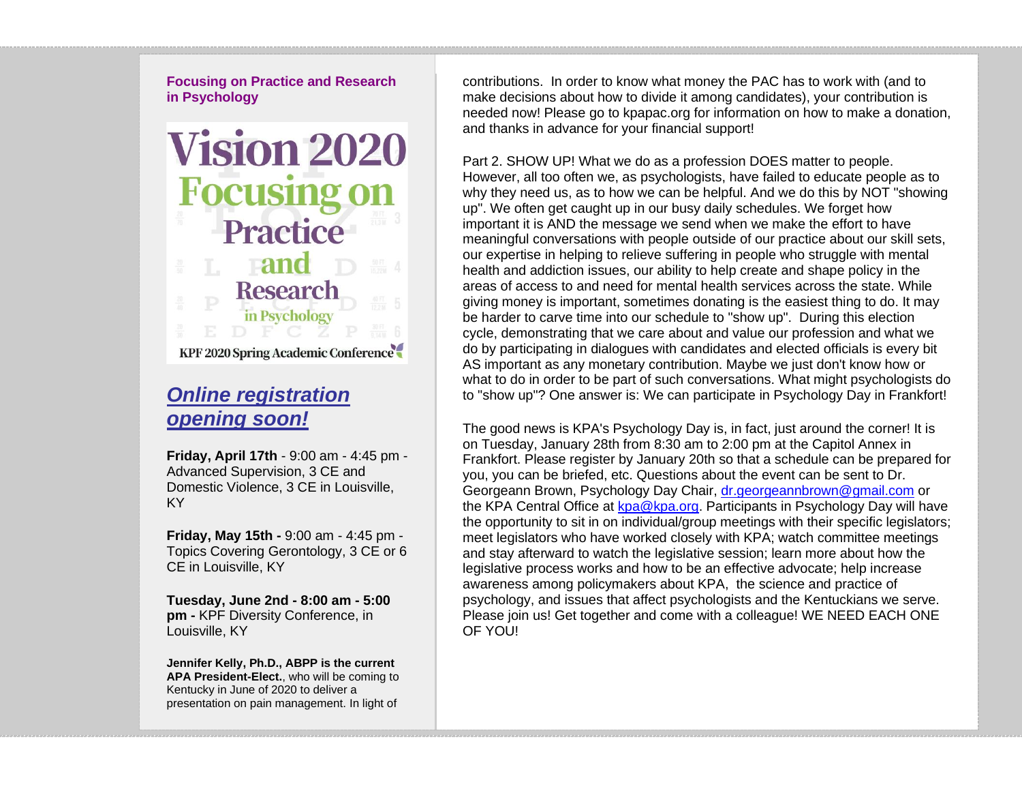**Focusing on Practice and Research in Psychology**

## **Vision 2020 Focusing on** Practice  $L$  rand  $D$ **Research** in Psychology

**KPF 2020 Spring Academic Conference** 

## *Online registration opening soon!*

**Friday, April 17th** - 9:00 am - 4:45 pm - Advanced Supervision, 3 CE and Domestic Violence, 3 CE in Louisville, KY

**Friday, May 15th -** 9:00 am - 4:45 pm - Topics Covering Gerontology, 3 CE or 6 CE in Louisville, KY

**Tuesday, June 2nd - 8:00 am - 5:00 pm -** KPF Diversity Conference, in Louisville, KY

**Jennifer Kelly, Ph.D., ABPP is the current APA President-Elect.**, who will be coming to Kentucky in June of 2020 to deliver a presentation on pain management. In light of

contributions. In order to know what money the PAC has to work with (and to make decisions about how to divide it among candidates), your contribution is needed now! Please go to kpapac.org for information on how to make a donation, and thanks in advance for your financial support!

Part 2. SHOW UP! What we do as a profession DOES matter to people. However, all too often we, as psychologists, have failed to educate people as to why they need us, as to how we can be helpful. And we do this by NOT "showing up". We often get caught up in our busy daily schedules. We forget how important it is AND the message we send when we make the effort to have meaningful conversations with people outside of our practice about our skill sets, our expertise in helping to relieve suffering in people who struggle with mental health and addiction issues, our ability to help create and shape policy in the areas of access to and need for mental health services across the state. While giving money is important, sometimes donating is the easiest thing to do. It may be harder to carve time into our schedule to "show up". During this election cycle, demonstrating that we care about and value our profession and what we do by participating in dialogues with candidates and elected officials is every bit AS important as any monetary contribution. Maybe we just don't know how or what to do in order to be part of such conversations. What might psychologists do to "show up"? One answer is: We can participate in Psychology Day in Frankfort!

The good news is KPA's Psychology Day is, in fact, just around the corner! It is on Tuesday, January 28th from 8:30 am to 2:00 pm at the Capitol Annex in Frankfort. Please register by January 20th so that a schedule can be prepared for you, you can be briefed, etc. Questions about the event can be sent to Dr. Georgeann Brown, Psychology Day Chair, [dr.georgeannbrown@gmail.com](mailto:dr.georgeannbrown@gmail.com) or the KPA Central Office at [kpa@kpa.org.](mailto:kpa@kpa.org) Participants in Psychology Day will have the opportunity to sit in on individual/group meetings with their specific legislators; meet legislators who have worked closely with KPA; watch committee meetings and stay afterward to watch the legislative session; learn more about how the legislative process works and how to be an effective advocate; help increase awareness among policymakers about KPA, the science and practice of psychology, and issues that affect psychologists and the Kentuckians we serve. Please join us! Get together and come with a colleague! WE NEED EACH ONE OF YOU!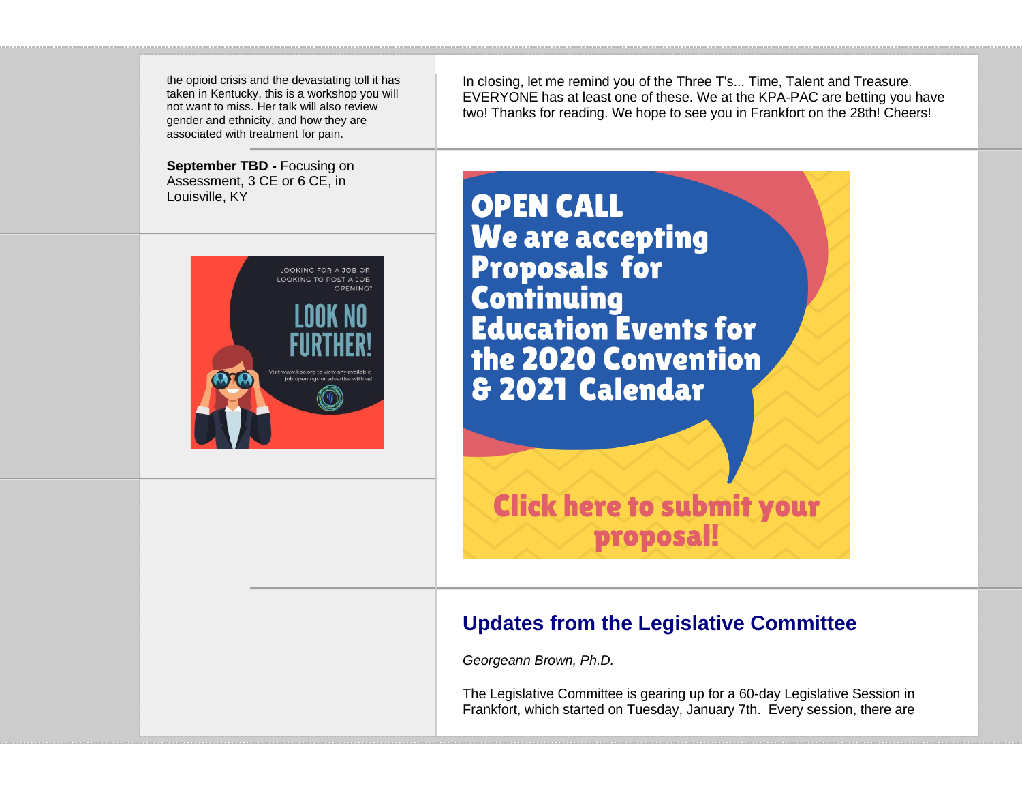the opioid crisis and the devastating toll it has taken in Kentucky, this is a workshop you will not want to miss. Her talk will also review gender and ethnicity, and how they are associated with treatment for pain.

**September TBD -** Focusing on Assessment, 3 CE or 6 CE, in Louisville, KY

LOOKING FOR A JOB OR LOOKING TO POST A JOB OPENING

In closing, let me remind you of the Three T's... Time, Talent and Treasure. EVERYONE has at least one of these. We at the KPA-PAC are betting you have two! Thanks for reading. We hope to see you in Frankfort on the 28th! Cheers!

**OPEN CALL We are accepting Proposals for Continuing Education Events for** the 2020 Convention & 2021 Calendar

**Click here to submit your** proposal!

## **Updates from the Legislative Committee**

*Georgeann Brown, Ph.D.*

The Legislative Committee is gearing up for a 60-day Legislative Session in Frankfort, which started on Tuesday, January 7th. Every session, there are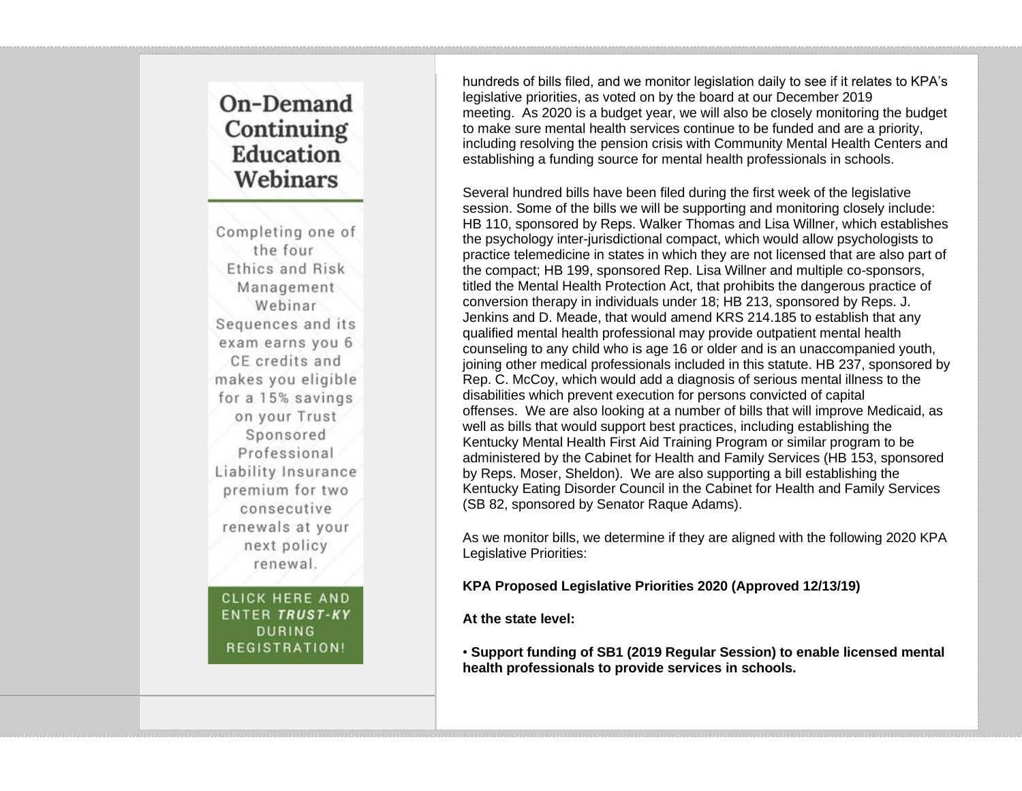## On-Demand Continuing Education Webinars

Completing one of the four Ethics and Risk Management Webinar Sequences and its exam earns you 6 CE credits and makes you eligible for a 15% savings on your Trust Sponsored Professional Liability Insurance premium for two consecutive renewals at your next policy renewal.

**CLICK HERE AND ENTER TRUST-KY DURING** REGISTRATION!

hundreds of bills filed, and we monitor legislation daily to see if it relates to KPA's legislative priorities, as voted on by the board at our December 2019 meeting. As 2020 is a budget year, we will also be closely monitoring the budget to make sure mental health services continue to be funded and are a priority, including resolving the pension crisis with Community Mental Health Centers and establishing a funding source for mental health professionals in schools.

Several hundred bills have been filed during the first week of the legislative session. Some of the bills we will be supporting and monitoring closely include: HB 110, sponsored by Reps. Walker Thomas and Lisa Willner, which establishes the psychology inter-jurisdictional compact, which would allow psychologists to practice telemedicine in states in which they are not licensed that are also part of the compact; HB 199, sponsored Rep. Lisa Willner and multiple co-sponsors, titled the Mental Health Protection Act, that prohibits the dangerous practice of conversion therapy in individuals under 18; HB 213, sponsored by Reps. J. Jenkins and D. Meade, that would amend KRS 214.185 to establish that any qualified mental health professional may provide outpatient mental health counseling to any child who is age 16 or older and is an unaccompanied youth, joining other medical professionals included in this statute. HB 237, sponsored by Rep. C. McCoy, which would add a diagnosis of serious mental illness to the disabilities which prevent execution for persons convicted of capital offenses. We are also looking at a number of bills that will improve Medicaid, as well as bills that would support best practices, including establishing the Kentucky Mental Health First Aid Training Program or similar program to be administered by the Cabinet for Health and Family Services (HB 153, sponsored by Reps. Moser, Sheldon). We are also supporting a bill establishing the Kentucky Eating Disorder Council in the Cabinet for Health and Family Services (SB 82, sponsored by Senator Raque Adams).

As we monitor bills, we determine if they are aligned with the following 2020 KPA Legislative Priorities:

#### **KPA Proposed Legislative Priorities 2020 (Approved 12/13/19)**

#### **At the state level:**

• **Support funding of SB1 (2019 Regular Session) to enable licensed mental health professionals to provide services in schools.**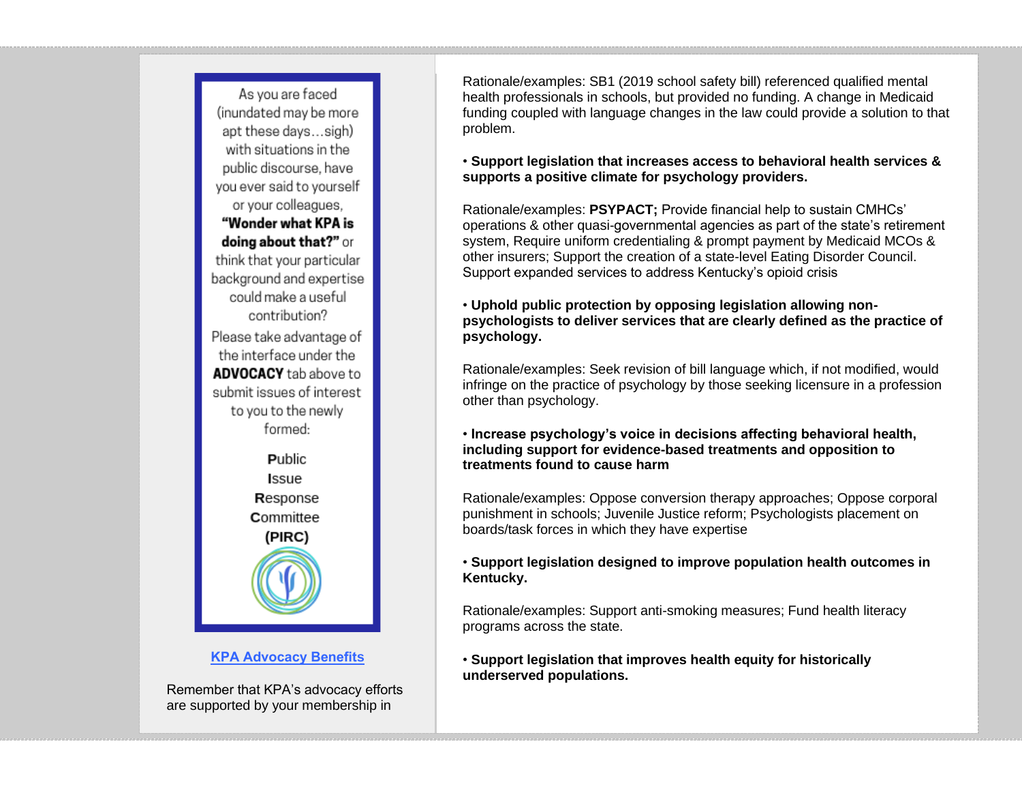As you are faced (inundated may be more apt these days...sigh) with situations in the public discourse, have you ever said to yourself or your colleagues, "Wonder what KPA is doing about that?" or think that your particular background and expertise could make a useful contribution? Please take advantage of the interface under the **ADVOCACY** tab above to submit issues of interest to you to the newly formed: **Public** 

**Issue** Response Committee (PIRC)

**[KPA Advocacy Benefits](https://www.kpa.org/join-the-kentucky-psychological-association-)**

Remember that KPA's advocacy efforts are supported by your membership in

Rationale/examples: SB1 (2019 school safety bill) referenced qualified mental health professionals in schools, but provided no funding. A change in Medicaid funding coupled with language changes in the law could provide a solution to that problem.

• **Support legislation that increases access to behavioral health services & supports a positive climate for psychology providers.**

Rationale/examples: **PSYPACT;** Provide financial help to sustain CMHCs' operations & other quasi-governmental agencies as part of the state's retirement system, Require uniform credentialing & prompt payment by Medicaid MCOs & other insurers; Support the creation of a state-level Eating Disorder Council. Support expanded services to address Kentucky's opioid crisis

• **Uphold public protection by opposing legislation allowing nonpsychologists to deliver services that are clearly defined as the practice of psychology.**

Rationale/examples: Seek revision of bill language which, if not modified, would infringe on the practice of psychology by those seeking licensure in a profession other than psychology.

#### • **Increase psychology's voice in decisions affecting behavioral health, including support for evidence-based treatments and opposition to treatments found to cause harm**

Rationale/examples: Oppose conversion therapy approaches; Oppose corporal punishment in schools; Juvenile Justice reform; Psychologists placement on boards/task forces in which they have expertise

• **Support legislation designed to improve population health outcomes in Kentucky.**

Rationale/examples: Support anti-smoking measures; Fund health literacy programs across the state.

• **Support legislation that improves health equity for historically underserved populations.**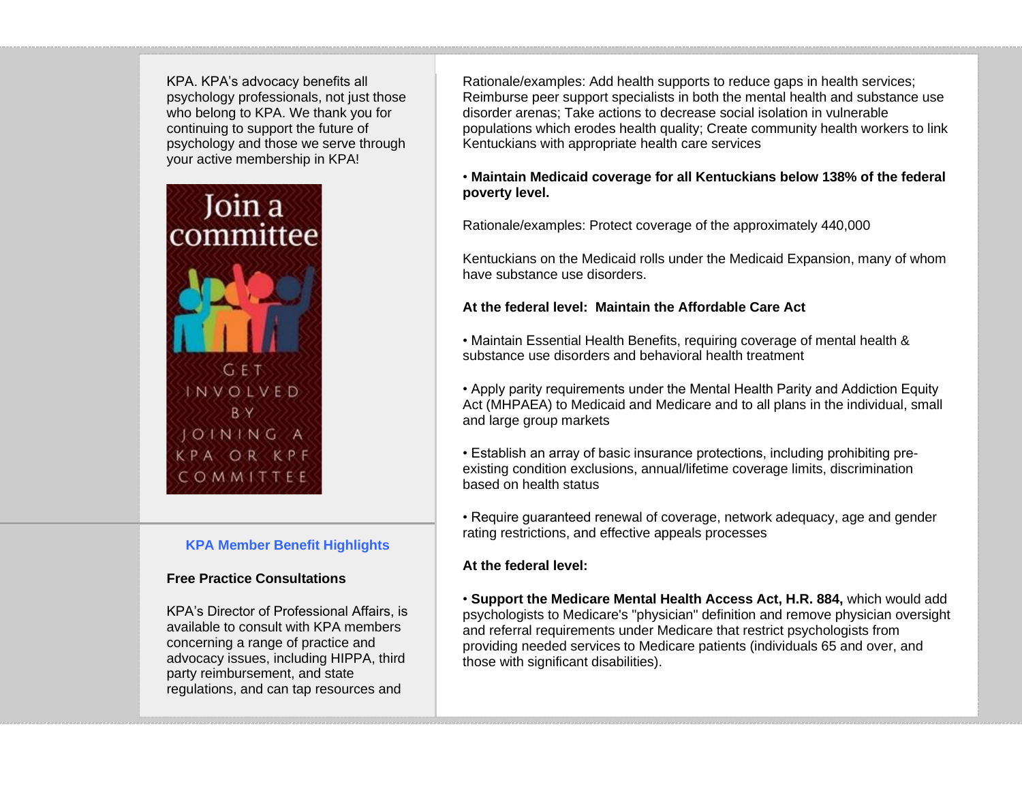KPA. KPA's advocacy benefits all psychology professionals, not just those who belong to KPA. We thank you for continuing to support the future of psychology and those we serve through your active membership in KPA!



#### **KPA Member Benefit Highlights**

#### **Free Practice Consultations**

KPA's Director of Professional Affairs, is available to consult with KPA members concerning a range of practice and advocacy issues, including HIPPA, third party reimbursement, and state regulations, and can tap resources and

Rationale/examples: Add health supports to reduce gaps in health services; Reimburse peer support specialists in both the mental health and substance use disorder arenas; Take actions to decrease social isolation in vulnerable populations which erodes health quality; Create community health workers to link Kentuckians with appropriate health care services

#### • **Maintain Medicaid coverage for all Kentuckians below 138% of the federal poverty level.**

Rationale/examples: Protect coverage of the approximately 440,000

Kentuckians on the Medicaid rolls under the Medicaid Expansion, many of whom have substance use disorders.

#### **At the federal level: Maintain the Affordable Care Act**

• Maintain Essential Health Benefits, requiring coverage of mental health & substance use disorders and behavioral health treatment

• Apply parity requirements under the Mental Health Parity and Addiction Equity Act (MHPAEA) to Medicaid and Medicare and to all plans in the individual, small and large group markets

• Establish an array of basic insurance protections, including prohibiting preexisting condition exclusions, annual/lifetime coverage limits, discrimination based on health status

• Require guaranteed renewal of coverage, network adequacy, age and gender rating restrictions, and effective appeals processes

#### **At the federal level:**

• **Support the Medicare Mental Health Access Act, H.R. 884,** which would add psychologists to Medicare's "physician" definition and remove physician oversight and referral requirements under Medicare that restrict psychologists from providing needed services to Medicare patients (individuals 65 and over, and those with significant disabilities).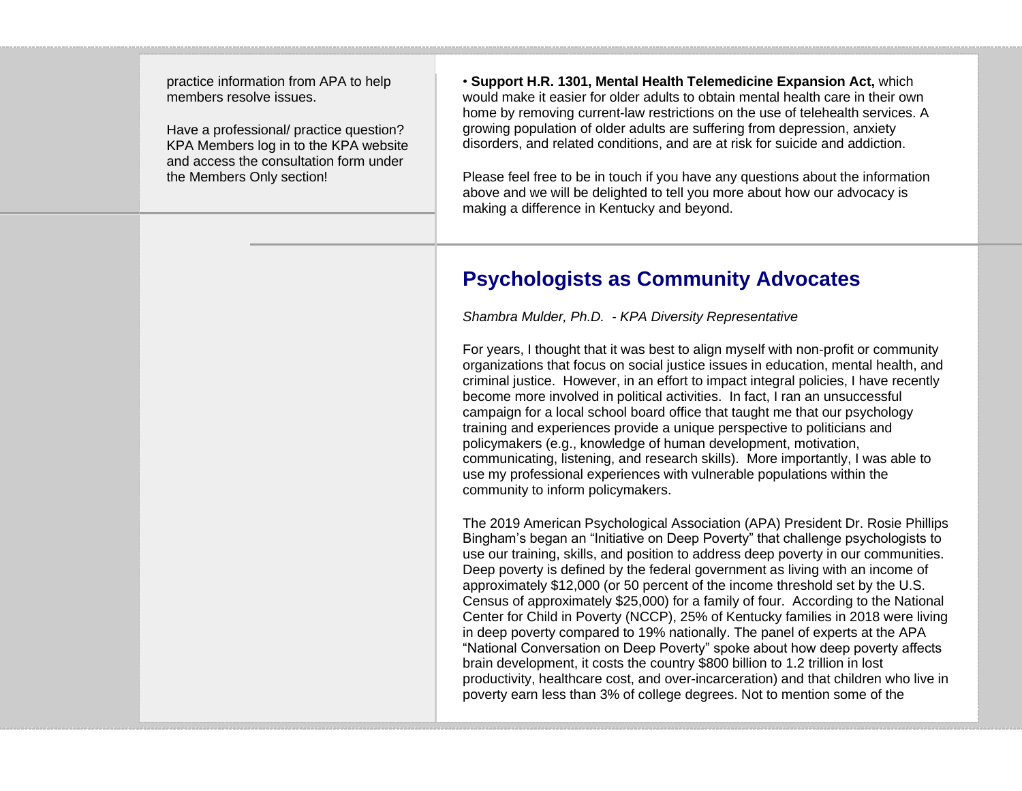practice information from APA to help members resolve issues.

Have a professional/ practice question? KPA Members log in to the KPA website and access the consultation form under the Members Only section!

• **Support H.R. 1301, Mental Health Telemedicine Expansion Act,** which would make it easier for older adults to obtain mental health care in their own home by removing current-law restrictions on the use of telehealth services. A growing population of older adults are suffering from depression, anxiety disorders, and related conditions, and are at risk for suicide and addiction.

Please feel free to be in touch if you have any questions about the information above and we will be delighted to tell you more about how our advocacy is making a difference in Kentucky and beyond.

## **Psychologists as Community Advocates**

*Shambra Mulder, Ph.D. - KPA Diversity Representative*

For years, I thought that it was best to align myself with non-profit or community organizations that focus on social justice issues in education, mental health, and criminal justice. However, in an effort to impact integral policies, I have recently become more involved in political activities. In fact, I ran an unsuccessful campaign for a local school board office that taught me that our psychology training and experiences provide a unique perspective to politicians and policymakers (e.g., knowledge of human development, motivation, communicating, listening, and research skills). More importantly, I was able to use my professional experiences with vulnerable populations within the community to inform policymakers.

The 2019 American Psychological Association (APA) President Dr. Rosie Phillips Bingham's began an "Initiative on Deep Poverty" that challenge psychologists to use our training, skills, and position to address deep poverty in our communities. Deep poverty is defined by the federal government as living with an income of approximately \$12,000 (or 50 percent of the income threshold set by the U.S. Census of approximately \$25,000) for a family of four. According to the National Center for Child in Poverty (NCCP), 25% of Kentucky families in 2018 were living in deep poverty compared to 19% nationally. The panel of experts at the APA "National Conversation on Deep Poverty" spoke about how deep poverty affects brain development, it costs the country \$800 billion to 1.2 trillion in lost productivity, healthcare cost, and over-incarceration) and that children who live in poverty earn less than 3% of college degrees. Not to mention some of the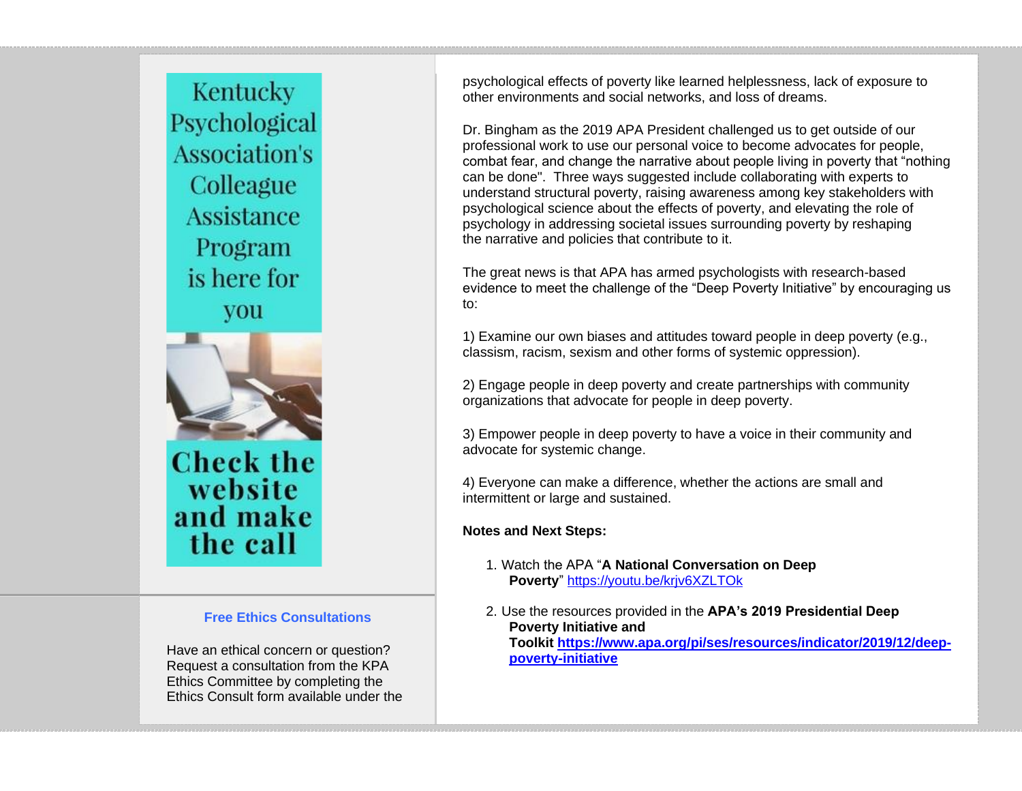Kentucky Psychological Association's Colleague **Assistance** Program is here for **vou** 



**Check the** website and make the call

#### **Free Ethics Consultations**

Have an ethical concern or question? Request a consultation from the KPA Ethics Committee by completing the Ethics Consult form available under the psychological effects of poverty like learned helplessness, lack of exposure to other environments and social networks, and loss of dreams.

Dr. Bingham as the 2019 APA President challenged us to get outside of our professional work to use our personal voice to become advocates for people, combat fear, and change the narrative about people living in poverty that "nothing can be done". Three ways suggested include collaborating with experts to understand structural poverty, raising awareness among key stakeholders with psychological science about the effects of poverty, and elevating the role of psychology in addressing societal issues surrounding poverty by reshaping the narrative and policies that contribute to it.

The great news is that APA has armed psychologists with research-based evidence to meet the challenge of the "Deep Poverty Initiative" by encouraging us to:

1) Examine our own biases and attitudes toward people in deep poverty (e.g., classism, racism, sexism and other forms of systemic oppression).

2) Engage people in deep poverty and create partnerships with community organizations that advocate for people in deep poverty.

3) Empower people in deep poverty to have a voice in their community and advocate for systemic change.

4) Everyone can make a difference, whether the actions are small and intermittent or large and sustained.

#### **Notes and Next Steps:**

- 1. Watch the APA "**A National Conversation on Deep Poverty**" <https://youtu.be/krjv6XZLTOk>
- 2. Use the resources provided in the **APA's 2019 Presidential Deep Poverty Initiative and Toolkit [https://www.apa.org/pi/ses/resources/indicator/2019/12/deep](https://www.apa.org/pi/ses/resources/indicator/2019/12/deep-poverty-initiative)[poverty-initiative](https://www.apa.org/pi/ses/resources/indicator/2019/12/deep-poverty-initiative)**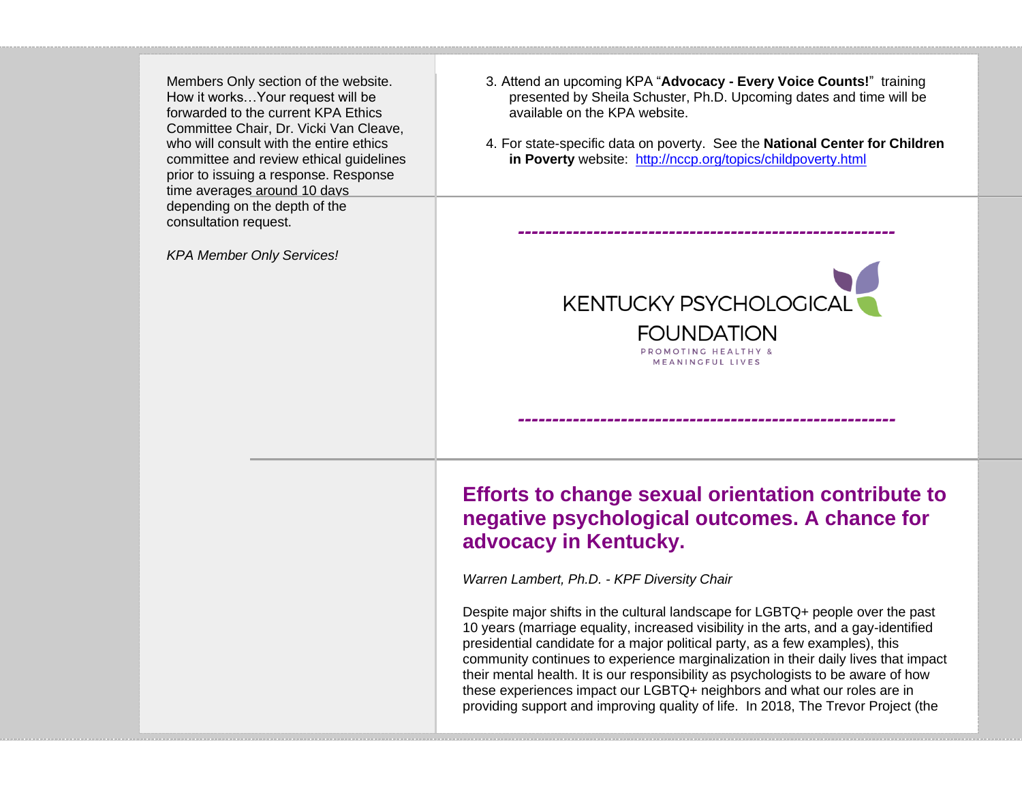Members Only section of the website. How it works…Your request will be forwarded to the current KPA Ethics Committee Chair, Dr. Vicki Van Cleave, who will consult with the entire ethics committee and review ethical guidelines prior to issuing a response. Response time averages around 10 days depending on the depth of the consultation request.

*KPA Member Only Services!*

- 3. Attend an upcoming KPA "**Advocacy - Every Voice Counts!**" training presented by Sheila Schuster, Ph.D. Upcoming dates and time will be available on the KPA website.
- 4. For state-specific data on poverty. See the **National Center for Children in Poverty** website: <http://nccp.org/topics/childpoverty.html>

*-------------------------------------------------------*



## **Efforts to change sexual orientation contribute to negative psychological outcomes. A chance for advocacy in Kentucky.**

*-------------------------------------------------------*

*Warren Lambert, Ph.D. - KPF Diversity Chair*

Despite major shifts in the cultural landscape for LGBTQ+ people over the past 10 years (marriage equality, increased visibility in the arts, and a gay-identified presidential candidate for a major political party, as a few examples), this community continues to experience marginalization in their daily lives that impact their mental health. It is our responsibility as psychologists to be aware of how these experiences impact our LGBTQ+ neighbors and what our roles are in providing support and improving quality of life. In 2018, The Trevor Project (the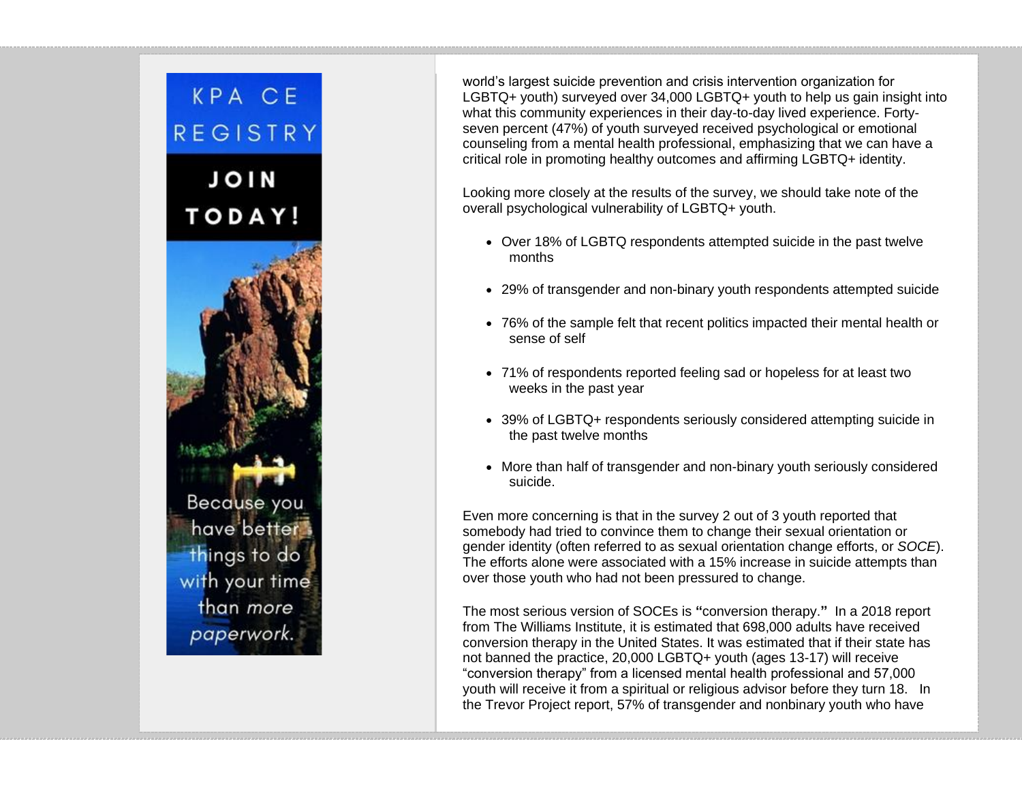# KPA CE REGISTRY **JOIN** TODAY! Because you have better things to do

with your time than more paperwork.

world's largest suicide prevention and crisis intervention organization for LGBTQ+ youth) surveyed over 34,000 LGBTQ+ youth to help us gain insight into what this community experiences in their day-to-day lived experience. Fortyseven percent (47%) of youth surveyed received psychological or emotional counseling from a mental health professional, emphasizing that we can have a critical role in promoting healthy outcomes and affirming LGBTQ+ identity.

Looking more closely at the results of the survey, we should take note of the overall psychological vulnerability of LGBTQ+ youth.

- Over 18% of LGBTQ respondents attempted suicide in the past twelve months
- 29% of transgender and non-binary youth respondents attempted suicide
- 76% of the sample felt that recent politics impacted their mental health or sense of self
- 71% of respondents reported feeling sad or hopeless for at least two weeks in the past year
- 39% of LGBTQ+ respondents seriously considered attempting suicide in the past twelve months
- More than half of transgender and non-binary youth seriously considered suicide.

Even more concerning is that in the survey 2 out of 3 youth reported that somebody had tried to convince them to change their sexual orientation or gender identity (often referred to as sexual orientation change efforts, or *SOCE*). The efforts alone were associated with a 15% increase in suicide attempts than over those youth who had not been pressured to change.

The most serious version of SOCEs is **"**conversion therapy.**"** In a 2018 report from The Williams Institute, it is estimated that 698,000 adults have received conversion therapy in the United States. It was estimated that if their state has not banned the practice, 20,000 LGBTQ+ youth (ages 13-17) will receive "conversion therapy" from a licensed mental health professional and 57,000 youth will receive it from a spiritual or religious advisor before they turn 18. In the Trevor Project report, 57% of transgender and nonbinary youth who have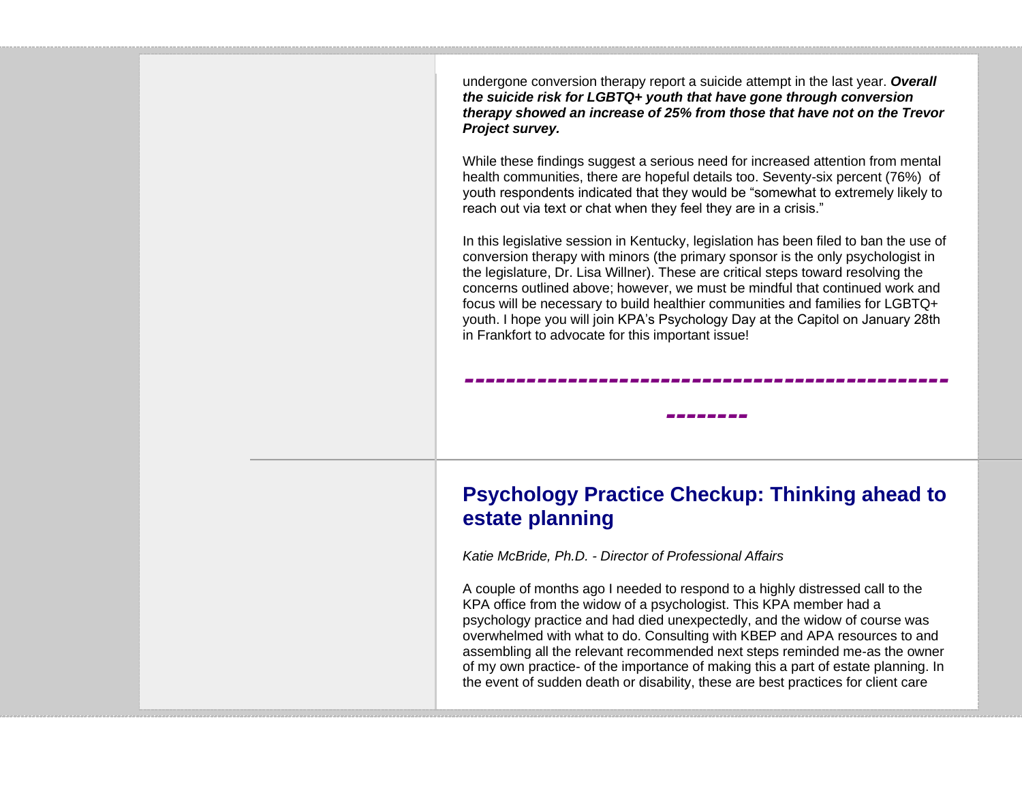undergone conversion therapy report a suicide attempt in the last year. *Overall the suicide risk for LGBTQ+ youth that have gone through conversion therapy showed an increase of 25% from those that have not on the Trevor Project survey.*

While these findings suggest a serious need for increased attention from mental health communities, there are hopeful details too. Seventy-six percent (76%) of youth respondents indicated that they would be "somewhat to extremely likely to reach out via text or chat when they feel they are in a crisis."

In this legislative session in Kentucky, legislation has been filed to ban the use of conversion therapy with minors (the primary sponsor is the only psychologist in the legislature, Dr. Lisa Willner). These are critical steps toward resolving the concerns outlined above; however, we must be mindful that continued work and focus will be necessary to build healthier communities and families for LGBTQ+ youth. I hope you will join KPA's Psychology Day at the Capitol on January 28th in Frankfort to advocate for this important issue!

*-----------------------------------------------*

*--------*

## **Psychology Practice Checkup: Thinking ahead to estate planning**

*Katie McBride, Ph.D. - Director of Professional Affairs*

A couple of months ago I needed to respond to a highly distressed call to the KPA office from the widow of a psychologist. This KPA member had a psychology practice and had died unexpectedly, and the widow of course was overwhelmed with what to do. Consulting with KBEP and APA resources to and assembling all the relevant recommended next steps reminded me-as the owner of my own practice- of the importance of making this a part of estate planning. In the event of sudden death or disability, these are best practices for client care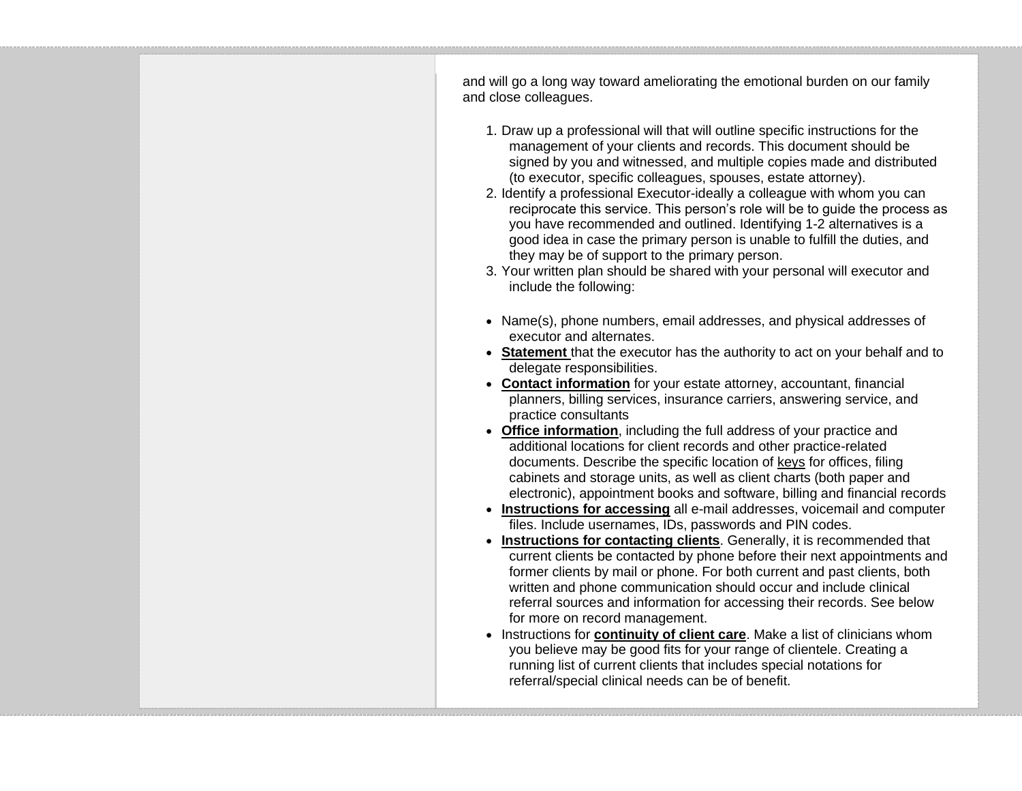and will go a long way toward ameliorating the emotional burden on our family and close colleagues.

- 1. Draw up a professional will that will outline specific instructions for the management of your clients and records. This document should be signed by you and witnessed, and multiple copies made and distributed (to executor, specific colleagues, spouses, estate attorney).
- 2. Identify a professional Executor-ideally a colleague with whom you can reciprocate this service. This person's role will be to guide the process as you have recommended and outlined. Identifying 1-2 alternatives is a good idea in case the primary person is unable to fulfill the duties, and they may be of support to the primary person.
- 3. Your written plan should be shared with your personal will executor and include the following:
- Name(s), phone numbers, email addresses, and physical addresses of executor and alternates.
- **Statement** that the executor has the authority to act on your behalf and to delegate responsibilities.
- **Contact information** for your estate attorney, accountant, financial planners, billing services, insurance carriers, answering service, and practice consultants
- **Office information**, including the full address of your practice and additional locations for client records and other practice-related documents. Describe the specific location of keys for offices, filing cabinets and storage units, as well as client charts (both paper and electronic), appointment books and software, billing and financial records
- **Instructions for accessing** all e-mail addresses, voicemail and computer files. Include usernames, IDs, passwords and PIN codes.
- **Instructions for contacting clients**. Generally, it is recommended that current clients be contacted by phone before their next appointments and former clients by mail or phone. For both current and past clients, both written and phone communication should occur and include clinical referral sources and information for accessing their records. See below for more on record management.
- Instructions for **continuity of client care**. Make a list of clinicians whom you believe may be good fits for your range of clientele. Creating a running list of current clients that includes special notations for referral/special clinical needs can be of benefit.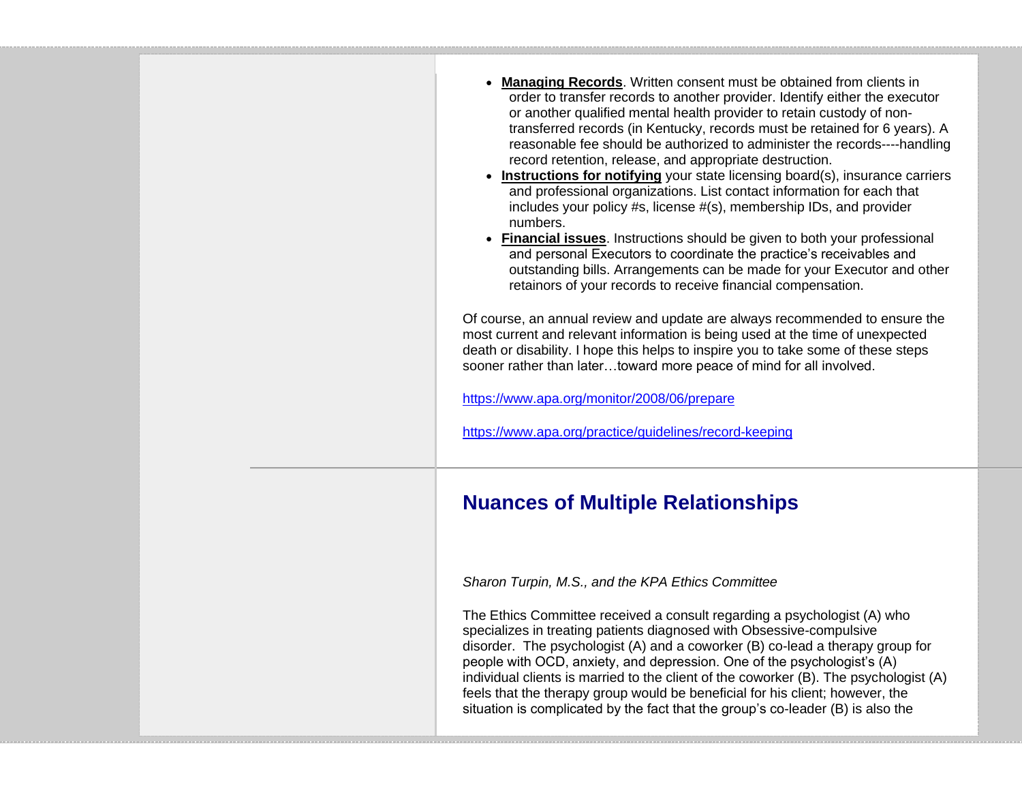- **Managing Records**. Written consent must be obtained from clients in order to transfer records to another provider. Identify either the executor or another qualified mental health provider to retain custody of nontransferred records (in Kentucky, records must be retained for 6 years). A reasonable fee should be authorized to administer the records----handling record retention, release, and appropriate destruction.
- **Instructions for notifying** your state licensing board(s), insurance carriers and professional organizations. List contact information for each that includes your policy #s, license #(s), membership IDs, and provider numbers.
- **Financial issues**. Instructions should be given to both your professional and personal Executors to coordinate the practice's receivables and outstanding bills. Arrangements can be made for your Executor and other retainors of your records to receive financial compensation.

Of course, an annual review and update are always recommended to ensure the most current and relevant information is being used at the time of unexpected death or disability. I hope this helps to inspire you to take some of these steps sooner rather than later…toward more peace of mind for all involved.

<https://www.apa.org/monitor/2008/06/prepare>

<https://www.apa.org/practice/guidelines/record-keeping>

## **Nuances of Multiple Relationships**

*Sharon Turpin, M.S., and the KPA Ethics Committee*

The Ethics Committee received a consult regarding a psychologist (A) who specializes in treating patients diagnosed with Obsessive-compulsive disorder. The psychologist (A) and a coworker (B) co-lead a therapy group for people with OCD, anxiety, and depression. One of the psychologist's (A) individual clients is married to the client of the coworker (B). The psychologist (A) feels that the therapy group would be beneficial for his client; however, the situation is complicated by the fact that the group's co-leader (B) is also the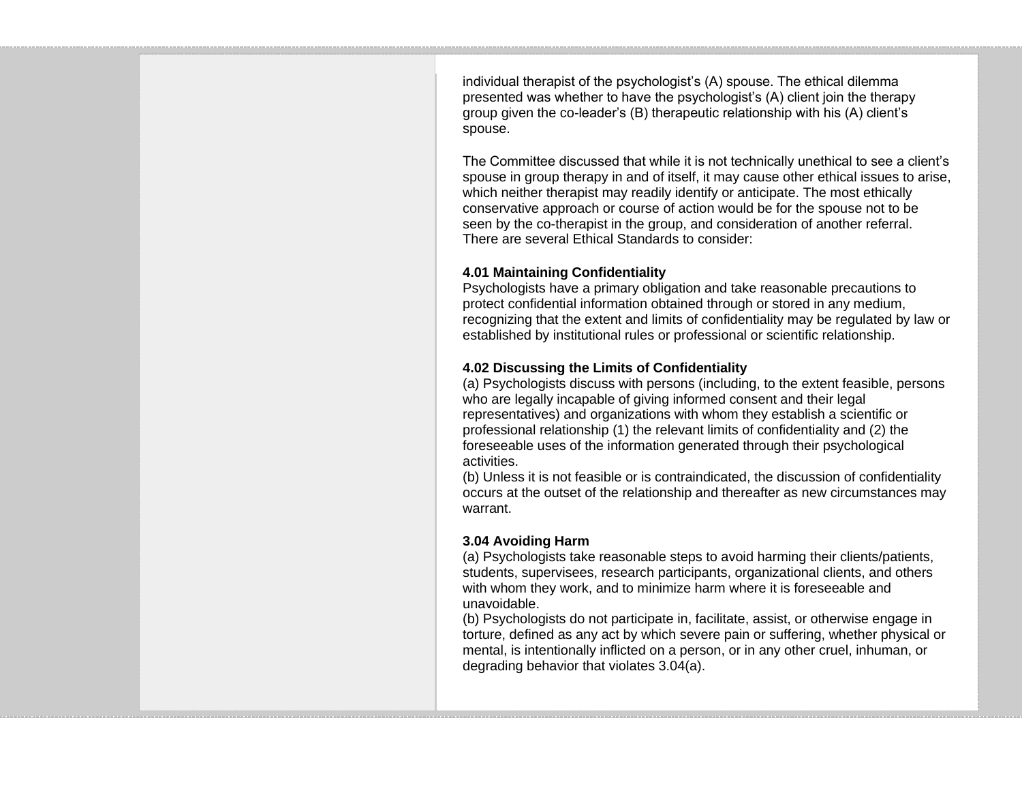individual therapist of the psychologist's (A) spouse. The ethical dilemma presented was whether to have the psychologist's (A) client join the therapy group given the co-leader's (B) therapeutic relationship with his (A) client's spouse.

The Committee discussed that while it is not technically unethical to see a client's spouse in group therapy in and of itself, it may cause other ethical issues to arise, which neither therapist may readily identify or anticipate. The most ethically conservative approach or course of action would be for the spouse not to be seen by the co-therapist in the group, and consideration of another referral. There are several Ethical Standards to consider:

#### **4.01 Maintaining Confidentiality**

Psychologists have a primary obligation and take reasonable precautions to protect confidential information obtained through or stored in any medium, recognizing that the extent and limits of confidentiality may be regulated by law or established by institutional rules or professional or scientific relationship.

#### **4.02 Discussing the Limits of Confidentiality**

(a) Psychologists discuss with persons (including, to the extent feasible, persons who are legally incapable of giving informed consent and their legal representatives) and organizations with whom they establish a scientific or professional relationship (1) the relevant limits of confidentiality and (2) the foreseeable uses of the information generated through their psychological activities.

(b) Unless it is not feasible or is contraindicated, the discussion of confidentiality occurs at the outset of the relationship and thereafter as new circumstances may warrant.

#### **3.04 Avoiding Harm**

(a) Psychologists take reasonable steps to avoid harming their clients/patients, students, supervisees, research participants, organizational clients, and others with whom they work, and to minimize harm where it is foreseeable and unavoidable.

(b) Psychologists do not participate in, facilitate, assist, or otherwise engage in torture, defined as any act by which severe pain or suffering, whether physical or mental, is intentionally inflicted on a person, or in any other cruel, inhuman, or degrading behavior that violates 3.04(a).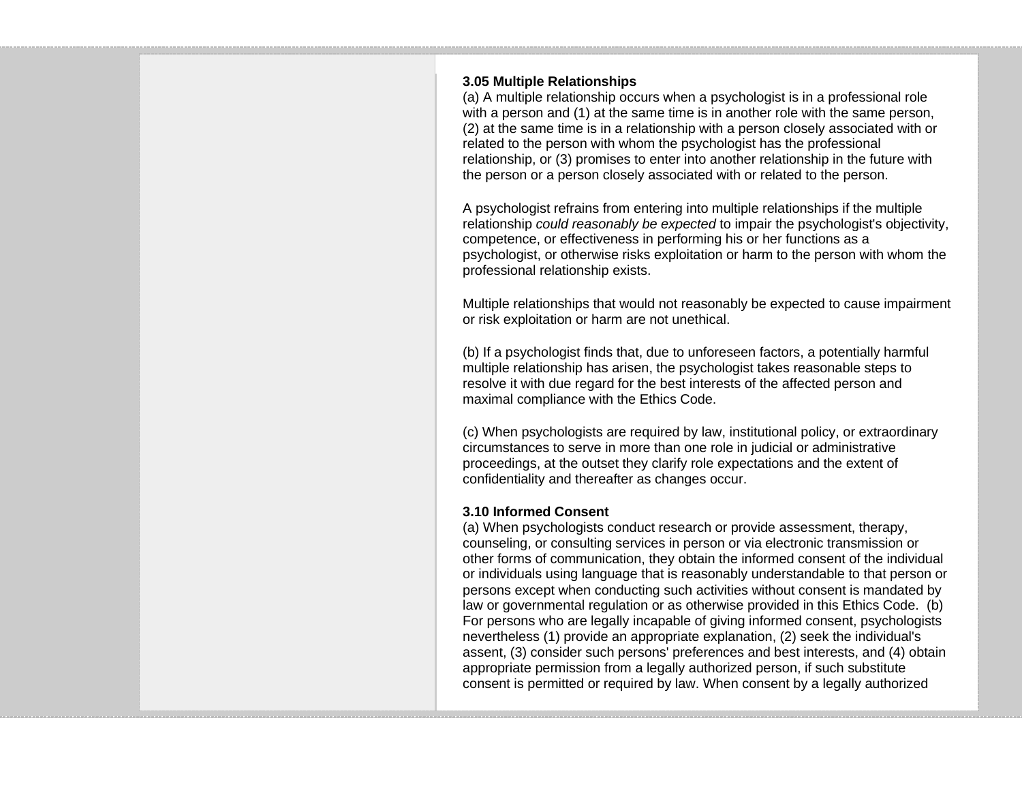#### **3.05 Multiple Relationships**

(a) A multiple relationship occurs when a psychologist is in a professional role with a person and (1) at the same time is in another role with the same person, (2) at the same time is in a relationship with a person closely associated with or related to the person with whom the psychologist has the professional relationship, or (3) promises to enter into another relationship in the future with the person or a person closely associated with or related to the person.

A psychologist refrains from entering into multiple relationships if the multiple relationship *could reasonably be expected* to impair the psychologist's objectivity, competence, or effectiveness in performing his or her functions as a psychologist, or otherwise risks exploitation or harm to the person with whom the professional relationship exists.

Multiple relationships that would not reasonably be expected to cause impairment or risk exploitation or harm are not unethical.

(b) If a psychologist finds that, due to unforeseen factors, a potentially harmful multiple relationship has arisen, the psychologist takes reasonable steps to resolve it with due regard for the best interests of the affected person and maximal compliance with the Ethics Code.

(c) When psychologists are required by law, institutional policy, or extraordinary circumstances to serve in more than one role in judicial or administrative proceedings, at the outset they clarify role expectations and the extent of confidentiality and thereafter as changes occur.

#### **3.10 Informed Consent**

(a) When psychologists conduct research or provide assessment, therapy, counseling, or consulting services in person or via electronic transmission or other forms of communication, they obtain the informed consent of the individual or individuals using language that is reasonably understandable to that person or persons except when conducting such activities without consent is mandated by law or governmental regulation or as otherwise provided in this Ethics Code. (b) For persons who are legally incapable of giving informed consent, psychologists nevertheless (1) provide an appropriate explanation, (2) seek the individual's assent, (3) consider such persons' preferences and best interests, and (4) obtain appropriate permission from a legally authorized person, if such substitute consent is permitted or required by law. When consent by a legally authorized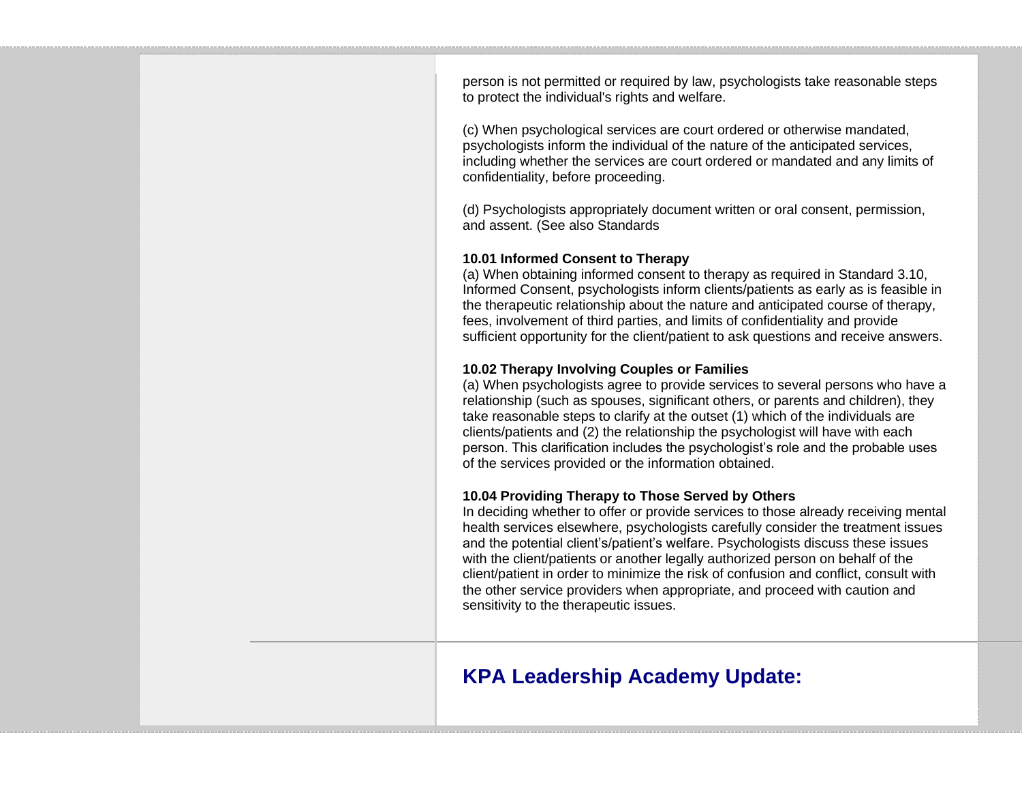person is not permitted or required by law, psychologists take reasonable steps to protect the individual's rights and welfare.

(c) When psychological services are court ordered or otherwise mandated, psychologists inform the individual of the nature of the anticipated services, including whether the services are court ordered or mandated and any limits of confidentiality, before proceeding.

(d) Psychologists appropriately document written or oral consent, permission, and assent. (See also Standards

#### **10.01 Informed Consent to Therapy**

(a) When obtaining informed consent to therapy as required in Standard 3.10, Informed Consent, psychologists inform clients/patients as early as is feasible in the therapeutic relationship about the nature and anticipated course of therapy, fees, involvement of third parties, and limits of confidentiality and provide sufficient opportunity for the client/patient to ask questions and receive answers.

#### **10.02 Therapy Involving Couples or Families**

(a) When psychologists agree to provide services to several persons who have a relationship (such as spouses, significant others, or parents and children), they take reasonable steps to clarify at the outset (1) which of the individuals are clients/patients and (2) the relationship the psychologist will have with each person. This clarification includes the psychologist's role and the probable uses of the services provided or the information obtained.

#### **10.04 Providing Therapy to Those Served by Others**

In deciding whether to offer or provide services to those already receiving mental health services elsewhere, psychologists carefully consider the treatment issues and the potential client's/patient's welfare. Psychologists discuss these issues with the client/patients or another legally authorized person on behalf of the client/patient in order to minimize the risk of confusion and conflict, consult with the other service providers when appropriate, and proceed with caution and sensitivity to the therapeutic issues.

## **KPA Leadership Academy Update:**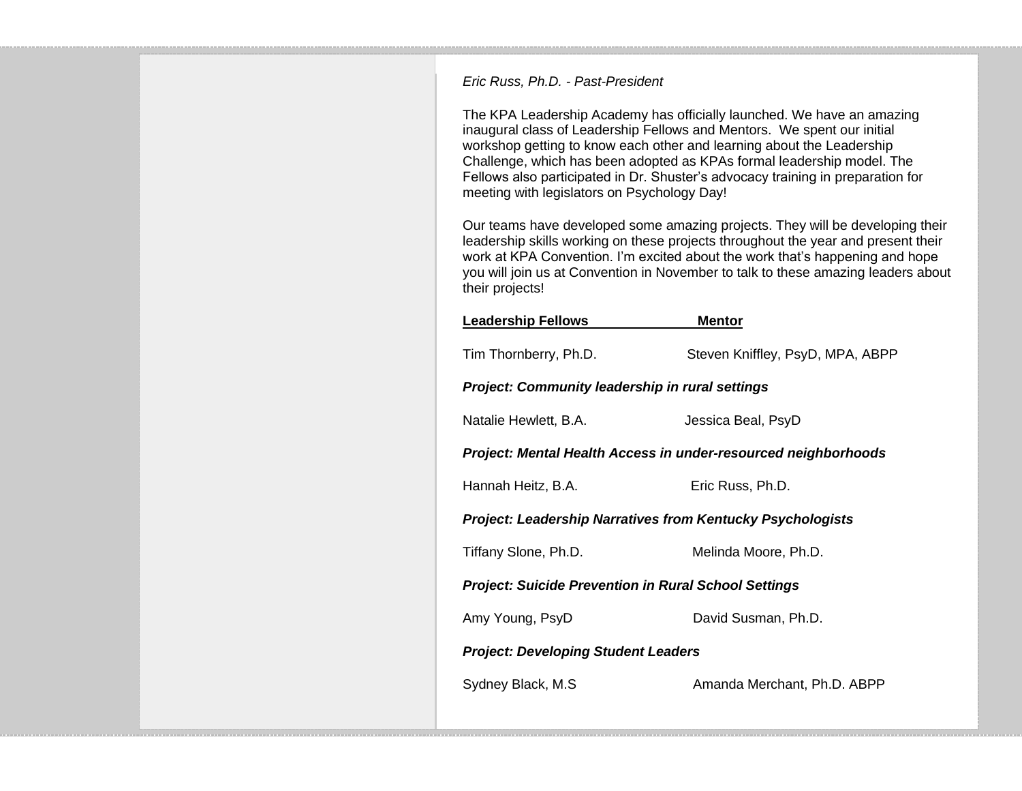*Eric Russ, Ph.D. - Past-President*

The KPA Leadership Academy has officially launched. We have an amazing inaugural class of Leadership Fellows and Mentors. We spent our initial workshop getting to know each other and learning about the Leadership Challenge, which has been adopted as KPAs formal leadership model. The Fellows also participated in Dr. Shuster's advocacy training in preparation for meeting with legislators on Psychology Day!

Our teams have developed some amazing projects. They will be developing their leadership skills working on these projects throughout the year and present their work at KPA Convention. I'm excited about the work that's happening and hope you will join us at Convention in November to talk to these amazing leaders about their projects!

| <u> Leadership Fellows</u>                                        | <b>Mentor</b>                    |
|-------------------------------------------------------------------|----------------------------------|
| Tim Thornberry, Ph.D.                                             | Steven Kniffley, PsyD, MPA, ABPP |
| Project: Community leadership in rural settings                   |                                  |
| Natalie Hewlett, B.A.                                             | Jessica Beal, PsyD               |
| Project: Mental Health Access in under-resourced neighborhoods    |                                  |
| Hannah Heitz, B.A.                                                | Eric Russ, Ph.D.                 |
| <b>Project: Leadership Narratives from Kentucky Psychologists</b> |                                  |
| Tiffany Slone, Ph.D.                                              | Melinda Moore, Ph.D.             |
| <b>Project: Suicide Prevention in Rural School Settings</b>       |                                  |
| Amy Young, PsyD                                                   | David Susman, Ph.D.              |
| <b>Project: Developing Student Leaders</b>                        |                                  |
| Sydney Black, M.S                                                 | Amanda Merchant, Ph.D. ABPP      |
|                                                                   |                                  |